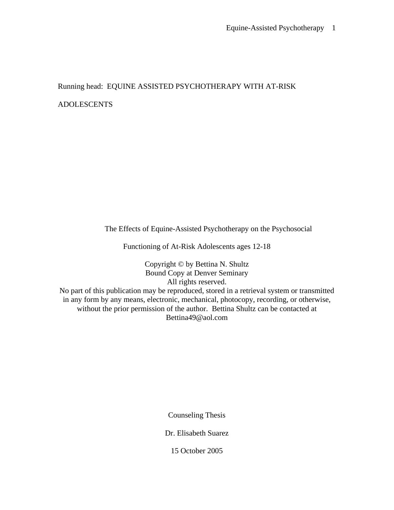Running head: EQUINE ASSISTED PSYCHOTHERAPY WITH AT-RISK

ADOLESCENTS

The Effects of Equine-Assisted Psychotherapy on the Psychosocial

Functioning of At-Risk Adolescents ages 12-18

Copyright © by Bettina N. Shultz Bound Copy at Denver Seminary All rights reserved.

No part of this publication may be reproduced, stored in a retrieval system or transmitted in any form by any means, electronic, mechanical, photocopy, recording, or otherwise, without the prior permission of the author. Bettina Shultz can be contacted at Bettina49@aol.com

Counseling Thesis

Dr. Elisabeth Suarez

15 October 2005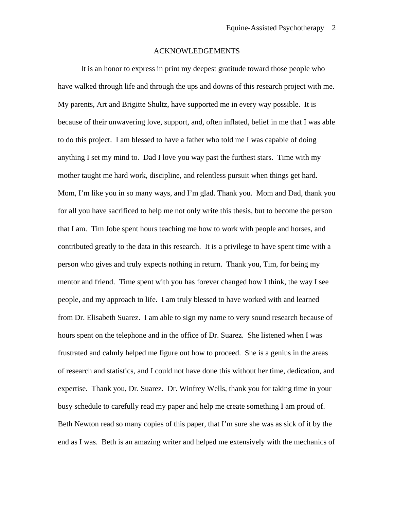## ACKNOWLEDGEMENTS

It is an honor to express in print my deepest gratitude toward those people who have walked through life and through the ups and downs of this research project with me. My parents, Art and Brigitte Shultz, have supported me in every way possible. It is because of their unwavering love, support, and, often inflated, belief in me that I was able to do this project. I am blessed to have a father who told me I was capable of doing anything I set my mind to. Dad I love you way past the furthest stars. Time with my mother taught me hard work, discipline, and relentless pursuit when things get hard. Mom, I'm like you in so many ways, and I'm glad. Thank you. Mom and Dad, thank you for all you have sacrificed to help me not only write this thesis, but to become the person that I am. Tim Jobe spent hours teaching me how to work with people and horses, and contributed greatly to the data in this research. It is a privilege to have spent time with a person who gives and truly expects nothing in return. Thank you, Tim, for being my mentor and friend. Time spent with you has forever changed how I think, the way I see people, and my approach to life. I am truly blessed to have worked with and learned from Dr. Elisabeth Suarez. I am able to sign my name to very sound research because of hours spent on the telephone and in the office of Dr. Suarez. She listened when I was frustrated and calmly helped me figure out how to proceed. She is a genius in the areas of research and statistics, and I could not have done this without her time, dedication, and expertise. Thank you, Dr. Suarez. Dr. Winfrey Wells, thank you for taking time in your busy schedule to carefully read my paper and help me create something I am proud of. Beth Newton read so many copies of this paper, that I'm sure she was as sick of it by the end as I was. Beth is an amazing writer and helped me extensively with the mechanics of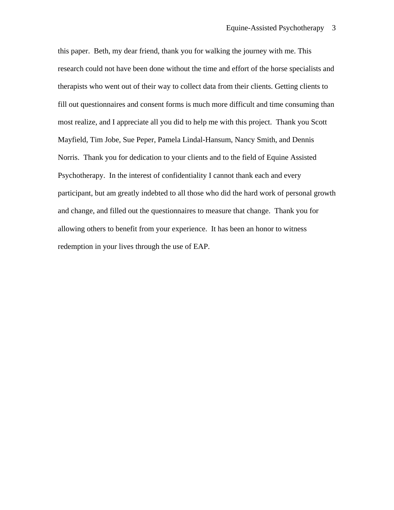this paper. Beth, my dear friend, thank you for walking the journey with me. This research could not have been done without the time and effort of the horse specialists and therapists who went out of their way to collect data from their clients. Getting clients to fill out questionnaires and consent forms is much more difficult and time consuming than most realize, and I appreciate all you did to help me with this project. Thank you Scott Mayfield, Tim Jobe, Sue Peper, Pamela Lindal-Hansum, Nancy Smith, and Dennis Norris. Thank you for dedication to your clients and to the field of Equine Assisted Psychotherapy. In the interest of confidentiality I cannot thank each and every participant, but am greatly indebted to all those who did the hard work of personal growth and change, and filled out the questionnaires to measure that change. Thank you for allowing others to benefit from your experience. It has been an honor to witness redemption in your lives through the use of EAP.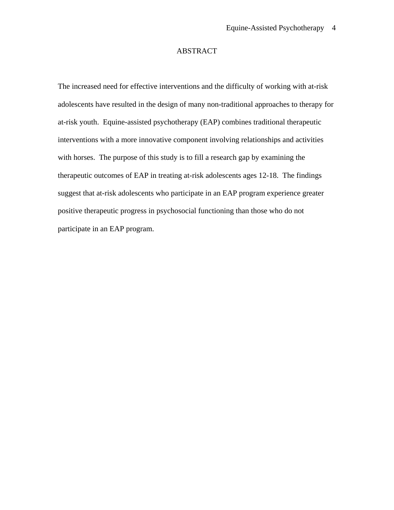## ABSTRACT

The increased need for effective interventions and the difficulty of working with at-risk adolescents have resulted in the design of many non-traditional approaches to therapy for at-risk youth. Equine-assisted psychotherapy (EAP) combines traditional therapeutic interventions with a more innovative component involving relationships and activities with horses. The purpose of this study is to fill a research gap by examining the therapeutic outcomes of EAP in treating at-risk adolescents ages 12-18. The findings suggest that at-risk adolescents who participate in an EAP program experience greater positive therapeutic progress in psychosocial functioning than those who do not participate in an EAP program.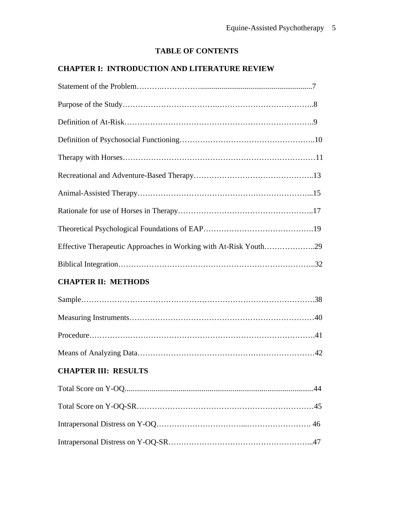# **TABLE OF CONTENTS**

# **CHAPTER I: INTRODUCTION AND LITERATURE REVIEW**

| Effective Therapeutic Approaches in Working with At-Risk Youth29 |
|------------------------------------------------------------------|
|                                                                  |
| <b>CHAPTER II: METHODS</b>                                       |
|                                                                  |
|                                                                  |
|                                                                  |
|                                                                  |
| <b>CHAPTER III: RESULTS</b>                                      |
|                                                                  |
|                                                                  |
|                                                                  |

Intrapersonal Distress on Y-OQ-SR………………………………………………...47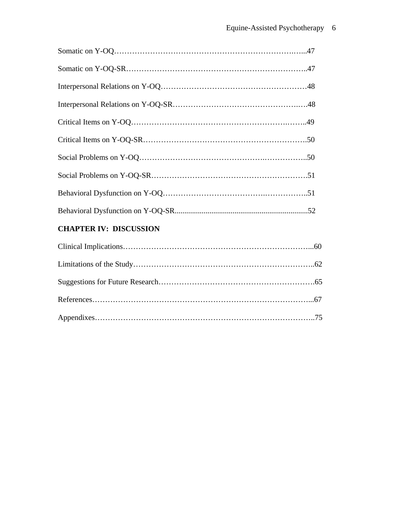| <b>CHAPTER IV: DISCUSSION</b> |  |
|-------------------------------|--|
|                               |  |
|                               |  |
|                               |  |
|                               |  |

Appendixes…………………………………………………………………………..75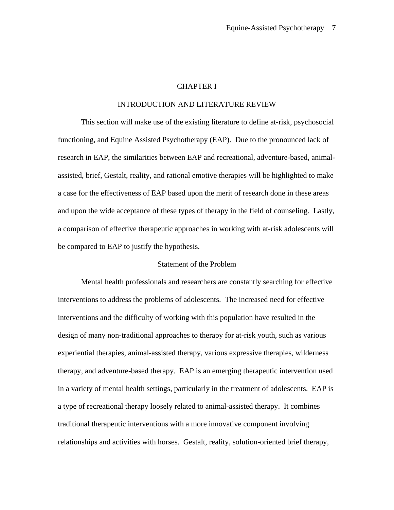## CHAPTER I

## INTRODUCTION AND LITERATURE REVIEW

 This section will make use of the existing literature to define at-risk, psychosocial functioning, and Equine Assisted Psychotherapy (EAP). Due to the pronounced lack of research in EAP, the similarities between EAP and recreational, adventure-based, animalassisted, brief, Gestalt, reality, and rational emotive therapies will be highlighted to make a case for the effectiveness of EAP based upon the merit of research done in these areas and upon the wide acceptance of these types of therapy in the field of counseling. Lastly, a comparison of effective therapeutic approaches in working with at-risk adolescents will be compared to EAP to justify the hypothesis.

## Statement of the Problem

 Mental health professionals and researchers are constantly searching for effective interventions to address the problems of adolescents. The increased need for effective interventions and the difficulty of working with this population have resulted in the design of many non-traditional approaches to therapy for at-risk youth, such as various experiential therapies, animal-assisted therapy, various expressive therapies, wilderness therapy, and adventure-based therapy. EAP is an emerging therapeutic intervention used in a variety of mental health settings, particularly in the treatment of adolescents. EAP is a type of recreational therapy loosely related to animal-assisted therapy. It combines traditional therapeutic interventions with a more innovative component involving relationships and activities with horses. Gestalt, reality, solution-oriented brief therapy,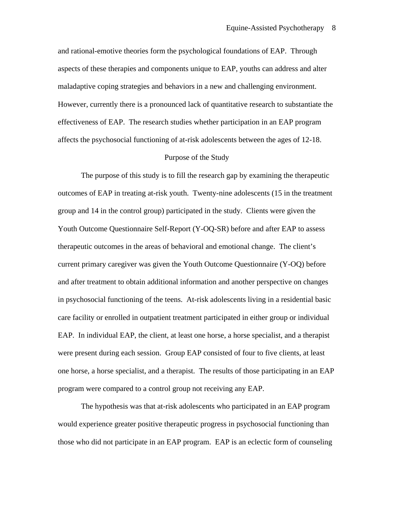and rational-emotive theories form the psychological foundations of EAP. Through aspects of these therapies and components unique to EAP, youths can address and alter maladaptive coping strategies and behaviors in a new and challenging environment. However, currently there is a pronounced lack of quantitative research to substantiate the effectiveness of EAP. The research studies whether participation in an EAP program affects the psychosocial functioning of at-risk adolescents between the ages of 12-18.

#### Purpose of the Study

 The purpose of this study is to fill the research gap by examining the therapeutic outcomes of EAP in treating at-risk youth. Twenty-nine adolescents (15 in the treatment group and 14 in the control group) participated in the study. Clients were given the Youth Outcome Questionnaire Self-Report (Y-OQ-SR) before and after EAP to assess therapeutic outcomes in the areas of behavioral and emotional change. The client's current primary caregiver was given the Youth Outcome Questionnaire (Y-OQ) before and after treatment to obtain additional information and another perspective on changes in psychosocial functioning of the teens. At-risk adolescents living in a residential basic care facility or enrolled in outpatient treatment participated in either group or individual EAP. In individual EAP, the client, at least one horse, a horse specialist, and a therapist were present during each session. Group EAP consisted of four to five clients, at least one horse, a horse specialist, and a therapist. The results of those participating in an EAP program were compared to a control group not receiving any EAP.

 The hypothesis was that at-risk adolescents who participated in an EAP program would experience greater positive therapeutic progress in psychosocial functioning than those who did not participate in an EAP program. EAP is an eclectic form of counseling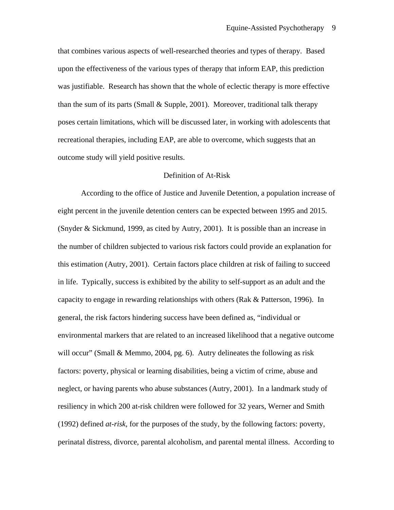that combines various aspects of well-researched theories and types of therapy. Based upon the effectiveness of the various types of therapy that inform EAP, this prediction was justifiable. Research has shown that the whole of eclectic therapy is more effective than the sum of its parts (Small & Supple, 2001). Moreover, traditional talk therapy poses certain limitations, which will be discussed later, in working with adolescents that recreational therapies, including EAP, are able to overcome, which suggests that an outcome study will yield positive results.

## Definition of At-Risk

 According to the office of Justice and Juvenile Detention, a population increase of eight percent in the juvenile detention centers can be expected between 1995 and 2015. (Snyder & Sickmund, 1999, as cited by Autry, 2001). It is possible than an increase in the number of children subjected to various risk factors could provide an explanation for this estimation (Autry, 2001). Certain factors place children at risk of failing to succeed in life. Typically, success is exhibited by the ability to self-support as an adult and the capacity to engage in rewarding relationships with others (Rak & Patterson, 1996). In general, the risk factors hindering success have been defined as, "individual or environmental markers that are related to an increased likelihood that a negative outcome will occur" (Small & Memmo, 2004, pg. 6). Autry delineates the following as risk factors: poverty, physical or learning disabilities, being a victim of crime, abuse and neglect, or having parents who abuse substances (Autry, 2001). In a landmark study of resiliency in which 200 at-risk children were followed for 32 years, Werner and Smith (1992) defined *at-risk,* for the purposes of the study, by the following factors: poverty, perinatal distress, divorce, parental alcoholism, and parental mental illness. According to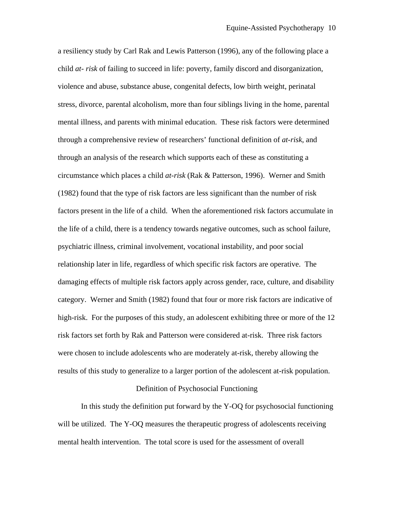a resiliency study by Carl Rak and Lewis Patterson (1996), any of the following place a child *at- risk* of failing to succeed in life: poverty, family discord and disorganization, violence and abuse, substance abuse, congenital defects, low birth weight, perinatal stress, divorce, parental alcoholism, more than four siblings living in the home, parental mental illness, and parents with minimal education. These risk factors were determined through a comprehensive review of researchers' functional definition of *at-risk*, and through an analysis of the research which supports each of these as constituting a circumstance which places a child *at-risk* (Rak & Patterson, 1996). Werner and Smith (1982) found that the type of risk factors are less significant than the number of risk factors present in the life of a child. When the aforementioned risk factors accumulate in the life of a child, there is a tendency towards negative outcomes, such as school failure, psychiatric illness, criminal involvement, vocational instability, and poor social relationship later in life, regardless of which specific risk factors are operative. The damaging effects of multiple risk factors apply across gender, race, culture, and disability category. Werner and Smith (1982) found that four or more risk factors are indicative of high-risk. For the purposes of this study, an adolescent exhibiting three or more of the 12 risk factors set forth by Rak and Patterson were considered at-risk. Three risk factors were chosen to include adolescents who are moderately at-risk, thereby allowing the results of this study to generalize to a larger portion of the adolescent at-risk population.

## Definition of Psychosocial Functioning

In this study the definition put forward by the Y-OQ for psychosocial functioning will be utilized. The Y-OQ measures the therapeutic progress of adolescents receiving mental health intervention. The total score is used for the assessment of overall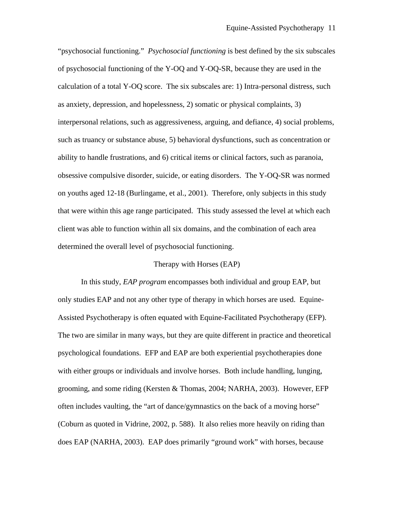"psychosocial functioning." *Psychosocial functioning* is best defined by the six subscales of psychosocial functioning of the Y-OQ and Y-OQ-SR, because they are used in the calculation of a total Y-OQ score. The six subscales are: 1) Intra-personal distress, such as anxiety, depression, and hopelessness, 2) somatic or physical complaints, 3) interpersonal relations, such as aggressiveness, arguing, and defiance, 4) social problems, such as truancy or substance abuse, 5) behavioral dysfunctions, such as concentration or ability to handle frustrations, and 6) critical items or clinical factors, such as paranoia, obsessive compulsive disorder, suicide, or eating disorders. The Y-OQ-SR was normed on youths aged 12-18 (Burlingame, et al., 2001). Therefore, only subjects in this study that were within this age range participated. This study assessed the level at which each client was able to function within all six domains, and the combination of each area determined the overall level of psychosocial functioning.

## Therapy with Horses (EAP)

 In this study, *EAP program* encompasses both individual and group EAP, but only studies EAP and not any other type of therapy in which horses are used. Equine-Assisted Psychotherapy is often equated with Equine-Facilitated Psychotherapy (EFP). The two are similar in many ways, but they are quite different in practice and theoretical psychological foundations. EFP and EAP are both experiential psychotherapies done with either groups or individuals and involve horses. Both include handling, lunging, grooming, and some riding (Kersten & Thomas, 2004; NARHA, 2003). However, EFP often includes vaulting, the "art of dance/gymnastics on the back of a moving horse" (Coburn as quoted in Vidrine, 2002, p. 588). It also relies more heavily on riding than does EAP (NARHA, 2003). EAP does primarily "ground work" with horses, because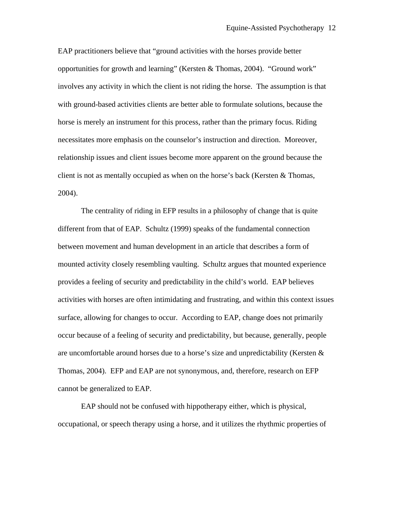EAP practitioners believe that "ground activities with the horses provide better opportunities for growth and learning" (Kersten & Thomas, 2004). "Ground work" involves any activity in which the client is not riding the horse. The assumption is that with ground-based activities clients are better able to formulate solutions, because the horse is merely an instrument for this process, rather than the primary focus. Riding necessitates more emphasis on the counselor's instruction and direction. Moreover, relationship issues and client issues become more apparent on the ground because the client is not as mentally occupied as when on the horse's back (Kersten & Thomas, 2004).

 The centrality of riding in EFP results in a philosophy of change that is quite different from that of EAP. Schultz (1999) speaks of the fundamental connection between movement and human development in an article that describes a form of mounted activity closely resembling vaulting. Schultz argues that mounted experience provides a feeling of security and predictability in the child's world. EAP believes activities with horses are often intimidating and frustrating, and within this context issues surface, allowing for changes to occur. According to EAP, change does not primarily occur because of a feeling of security and predictability, but because, generally, people are uncomfortable around horses due to a horse's size and unpredictability (Kersten & Thomas, 2004). EFP and EAP are not synonymous, and, therefore, research on EFP cannot be generalized to EAP.

 EAP should not be confused with hippotherapy either, which is physical, occupational, or speech therapy using a horse, and it utilizes the rhythmic properties of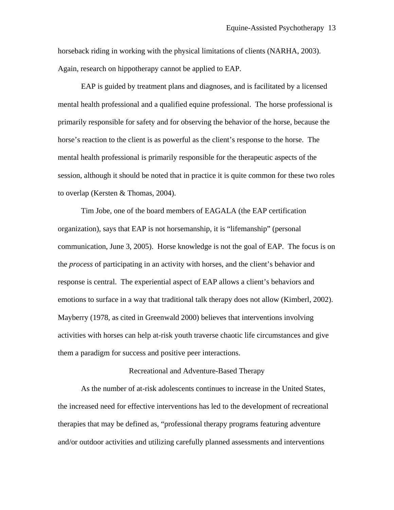horseback riding in working with the physical limitations of clients (NARHA, 2003). Again, research on hippotherapy cannot be applied to EAP.

 EAP is guided by treatment plans and diagnoses, and is facilitated by a licensed mental health professional and a qualified equine professional. The horse professional is primarily responsible for safety and for observing the behavior of the horse, because the horse's reaction to the client is as powerful as the client's response to the horse. The mental health professional is primarily responsible for the therapeutic aspects of the session, although it should be noted that in practice it is quite common for these two roles to overlap (Kersten & Thomas, 2004).

 Tim Jobe, one of the board members of EAGALA (the EAP certification organization), says that EAP is not horsemanship, it is "lifemanship" (personal communication, June 3, 2005). Horse knowledge is not the goal of EAP. The focus is on the *process* of participating in an activity with horses, and the client's behavior and response is central. The experiential aspect of EAP allows a client's behaviors and emotions to surface in a way that traditional talk therapy does not allow (Kimberl, 2002). Mayberry (1978, as cited in Greenwald 2000) believes that interventions involving activities with horses can help at-risk youth traverse chaotic life circumstances and give them a paradigm for success and positive peer interactions.

#### Recreational and Adventure-Based Therapy

 As the number of at-risk adolescents continues to increase in the United States, the increased need for effective interventions has led to the development of recreational therapies that may be defined as, "professional therapy programs featuring adventure and/or outdoor activities and utilizing carefully planned assessments and interventions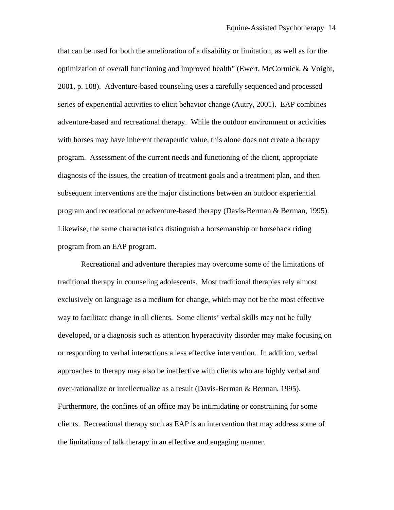that can be used for both the amelioration of a disability or limitation, as well as for the optimization of overall functioning and improved health" (Ewert, McCormick, & Voight, 2001, p. 108). Adventure-based counseling uses a carefully sequenced and processed series of experiential activities to elicit behavior change (Autry, 2001). EAP combines adventure-based and recreational therapy. While the outdoor environment or activities with horses may have inherent therapeutic value, this alone does not create a therapy program. Assessment of the current needs and functioning of the client, appropriate diagnosis of the issues, the creation of treatment goals and a treatment plan, and then subsequent interventions are the major distinctions between an outdoor experiential program and recreational or adventure-based therapy (Davis-Berman & Berman, 1995). Likewise, the same characteristics distinguish a horsemanship or horseback riding program from an EAP program.

 Recreational and adventure therapies may overcome some of the limitations of traditional therapy in counseling adolescents. Most traditional therapies rely almost exclusively on language as a medium for change, which may not be the most effective way to facilitate change in all clients. Some clients' verbal skills may not be fully developed, or a diagnosis such as attention hyperactivity disorder may make focusing on or responding to verbal interactions a less effective intervention. In addition, verbal approaches to therapy may also be ineffective with clients who are highly verbal and over-rationalize or intellectualize as a result (Davis-Berman & Berman, 1995). Furthermore, the confines of an office may be intimidating or constraining for some clients. Recreational therapy such as EAP is an intervention that may address some of the limitations of talk therapy in an effective and engaging manner.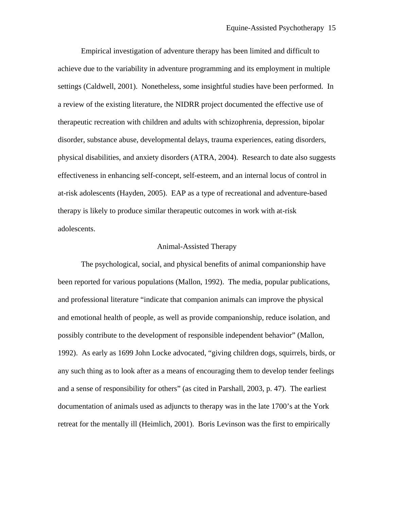Empirical investigation of adventure therapy has been limited and difficult to achieve due to the variability in adventure programming and its employment in multiple settings (Caldwell, 2001). Nonetheless, some insightful studies have been performed. In a review of the existing literature, the NIDRR project documented the effective use of therapeutic recreation with children and adults with schizophrenia, depression, bipolar disorder, substance abuse, developmental delays, trauma experiences, eating disorders, physical disabilities, and anxiety disorders (ATRA, 2004). Research to date also suggests effectiveness in enhancing self-concept, self-esteem, and an internal locus of control in at-risk adolescents (Hayden, 2005). EAP as a type of recreational and adventure-based therapy is likely to produce similar therapeutic outcomes in work with at-risk adolescents.

### Animal-Assisted Therapy

 The psychological, social, and physical benefits of animal companionship have been reported for various populations (Mallon, 1992). The media, popular publications, and professional literature "indicate that companion animals can improve the physical and emotional health of people, as well as provide companionship, reduce isolation, and possibly contribute to the development of responsible independent behavior" (Mallon, 1992). As early as 1699 John Locke advocated, "giving children dogs, squirrels, birds, or any such thing as to look after as a means of encouraging them to develop tender feelings and a sense of responsibility for others" (as cited in Parshall, 2003, p. 47). The earliest documentation of animals used as adjuncts to therapy was in the late 1700's at the York retreat for the mentally ill (Heimlich, 2001). Boris Levinson was the first to empirically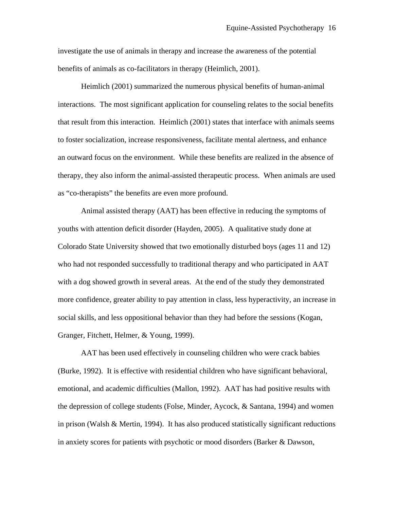investigate the use of animals in therapy and increase the awareness of the potential benefits of animals as co-facilitators in therapy (Heimlich, 2001).

 Heimlich (2001) summarized the numerous physical benefits of human-animal interactions. The most significant application for counseling relates to the social benefits that result from this interaction. Heimlich (2001) states that interface with animals seems to foster socialization, increase responsiveness, facilitate mental alertness, and enhance an outward focus on the environment. While these benefits are realized in the absence of therapy, they also inform the animal-assisted therapeutic process. When animals are used as "co-therapists" the benefits are even more profound.

 Animal assisted therapy (AAT) has been effective in reducing the symptoms of youths with attention deficit disorder (Hayden, 2005). A qualitative study done at Colorado State University showed that two emotionally disturbed boys (ages 11 and 12) who had not responded successfully to traditional therapy and who participated in AAT with a dog showed growth in several areas. At the end of the study they demonstrated more confidence, greater ability to pay attention in class, less hyperactivity, an increase in social skills, and less oppositional behavior than they had before the sessions (Kogan, Granger, Fitchett, Helmer, & Young, 1999).

 AAT has been used effectively in counseling children who were crack babies (Burke, 1992). It is effective with residential children who have significant behavioral, emotional, and academic difficulties (Mallon, 1992). AAT has had positive results with the depression of college students (Folse, Minder, Aycock, & Santana, 1994) and women in prison (Walsh & Mertin, 1994). It has also produced statistically significant reductions in anxiety scores for patients with psychotic or mood disorders (Barker & Dawson,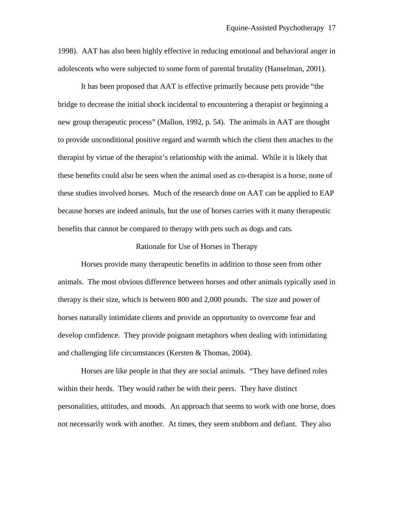1998). AAT has also been highly effective in reducing emotional and behavioral anger in adolescents who were subjected to some form of parental brutality (Hanselman, 2001).

 It has been proposed that AAT is effective primarily because pets provide "the bridge to decrease the initial shock incidental to encountering a therapist or beginning a new group therapeutic process" (Mallon, 1992, p. 54). The animals in AAT are thought to provide unconditional positive regard and warmth which the client then attaches to the therapist by virtue of the therapist's relationship with the animal. While it is likely that these benefits could also be seen when the animal used as co-therapist is a horse, none of these studies involved horses. Much of the research done on AAT can be applied to EAP because horses are indeed animals, but the use of horses carries with it many therapeutic benefits that cannot be compared to therapy with pets such as dogs and cats.

### Rationale for Use of Horses in Therapy

 Horses provide many therapeutic benefits in addition to those seen from other animals. The most obvious difference between horses and other animals typically used in therapy is their size, which is between 800 and 2,000 pounds. The size and power of horses naturally intimidate clients and provide an opportunity to overcome fear and develop confidence. They provide poignant metaphors when dealing with intimidating and challenging life circumstances (Kersten & Thomas, 2004).

 Horses are like people in that they are social animals. "They have defined roles within their herds. They would rather be with their peers. They have distinct personalities, attitudes, and moods. An approach that seems to work with one horse, does not necessarily work with another. At times, they seem stubborn and defiant. They also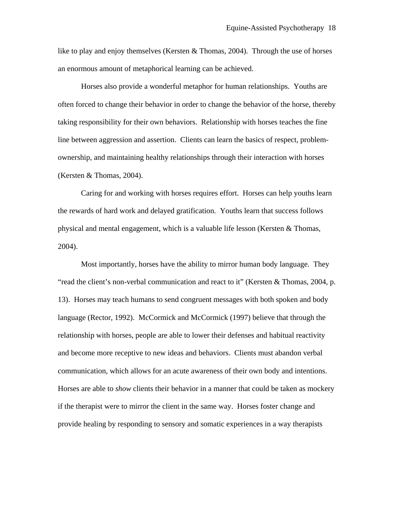like to play and enjoy themselves (Kersten & Thomas, 2004). Through the use of horses an enormous amount of metaphorical learning can be achieved.

 Horses also provide a wonderful metaphor for human relationships. Youths are often forced to change their behavior in order to change the behavior of the horse, thereby taking responsibility for their own behaviors. Relationship with horses teaches the fine line between aggression and assertion. Clients can learn the basics of respect, problemownership, and maintaining healthy relationships through their interaction with horses (Kersten & Thomas, 2004).

 Caring for and working with horses requires effort. Horses can help youths learn the rewards of hard work and delayed gratification. Youths learn that success follows physical and mental engagement, which is a valuable life lesson (Kersten & Thomas, 2004).

 Most importantly, horses have the ability to mirror human body language. They "read the client's non-verbal communication and react to it" (Kersten & Thomas, 2004, p. 13). Horses may teach humans to send congruent messages with both spoken and body language (Rector, 1992). McCormick and McCormick (1997) believe that through the relationship with horses, people are able to lower their defenses and habitual reactivity and become more receptive to new ideas and behaviors. Clients must abandon verbal communication, which allows for an acute awareness of their own body and intentions. Horses are able to *show* clients their behavior in a manner that could be taken as mockery if the therapist were to mirror the client in the same way. Horses foster change and provide healing by responding to sensory and somatic experiences in a way therapists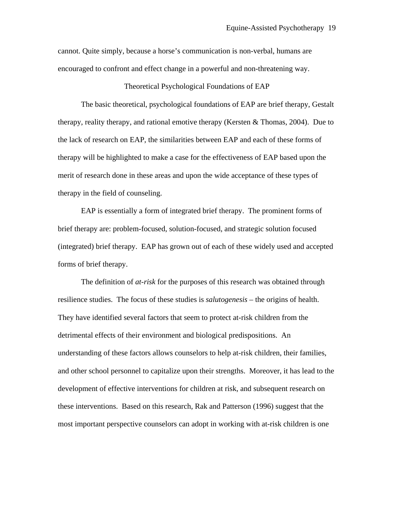cannot. Quite simply, because a horse's communication is non-verbal, humans are encouraged to confront and effect change in a powerful and non-threatening way.

### Theoretical Psychological Foundations of EAP

 The basic theoretical, psychological foundations of EAP are brief therapy, Gestalt therapy, reality therapy, and rational emotive therapy (Kersten  $\&$  Thomas, 2004). Due to the lack of research on EAP, the similarities between EAP and each of these forms of therapy will be highlighted to make a case for the effectiveness of EAP based upon the merit of research done in these areas and upon the wide acceptance of these types of therapy in the field of counseling.

 EAP is essentially a form of integrated brief therapy. The prominent forms of brief therapy are: problem-focused, solution-focused, and strategic solution focused (integrated) brief therapy. EAP has grown out of each of these widely used and accepted forms of brief therapy.

 The definition of *at-risk* for the purposes of this research was obtained through resilience studies. The focus of these studies is *salutogenesis –* the origins of health. They have identified several factors that seem to protect at-risk children from the detrimental effects of their environment and biological predispositions. An understanding of these factors allows counselors to help at-risk children, their families, and other school personnel to capitalize upon their strengths. Moreover, it has lead to the development of effective interventions for children at risk, and subsequent research on these interventions. Based on this research, Rak and Patterson (1996) suggest that the most important perspective counselors can adopt in working with at-risk children is one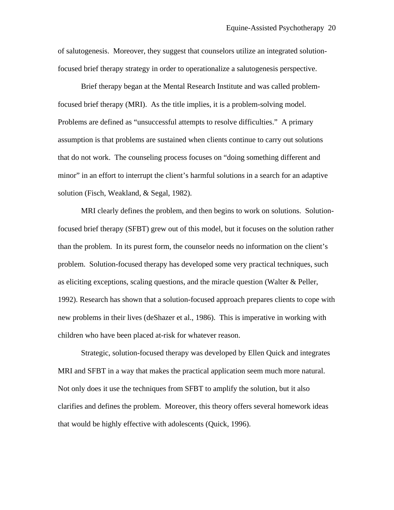of salutogenesis. Moreover, they suggest that counselors utilize an integrated solutionfocused brief therapy strategy in order to operationalize a salutogenesis perspective.

 Brief therapy began at the Mental Research Institute and was called problemfocused brief therapy (MRI). As the title implies, it is a problem-solving model. Problems are defined as "unsuccessful attempts to resolve difficulties." A primary assumption is that problems are sustained when clients continue to carry out solutions that do not work. The counseling process focuses on "doing something different and minor" in an effort to interrupt the client's harmful solutions in a search for an adaptive solution (Fisch, Weakland, & Segal, 1982).

 MRI clearly defines the problem, and then begins to work on solutions. Solutionfocused brief therapy (SFBT) grew out of this model, but it focuses on the solution rather than the problem. In its purest form, the counselor needs no information on the client's problem. Solution-focused therapy has developed some very practical techniques, such as eliciting exceptions, scaling questions, and the miracle question (Walter & Peller, 1992). Research has shown that a solution-focused approach prepares clients to cope with new problems in their lives (deShazer et al., 1986). This is imperative in working with children who have been placed at-risk for whatever reason.

 Strategic, solution-focused therapy was developed by Ellen Quick and integrates MRI and SFBT in a way that makes the practical application seem much more natural. Not only does it use the techniques from SFBT to amplify the solution, but it also clarifies and defines the problem. Moreover, this theory offers several homework ideas that would be highly effective with adolescents (Quick, 1996).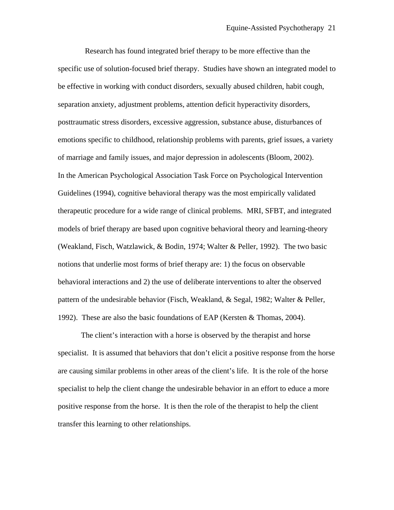Research has found integrated brief therapy to be more effective than the specific use of solution-focused brief therapy. Studies have shown an integrated model to be effective in working with conduct disorders, sexually abused children, habit cough, separation anxiety, adjustment problems, attention deficit hyperactivity disorders, posttraumatic stress disorders, excessive aggression, substance abuse, disturbances of emotions specific to childhood, relationship problems with parents, grief issues, a variety of marriage and family issues, and major depression in adolescents (Bloom, 2002). In the American Psychological Association Task Force on Psychological Intervention Guidelines (1994), cognitive behavioral therapy was the most empirically validated therapeutic procedure for a wide range of clinical problems. MRI, SFBT, and integrated models of brief therapy are based upon cognitive behavioral theory and learning-theory (Weakland, Fisch, Watzlawick, & Bodin, 1974; Walter & Peller, 1992). The two basic notions that underlie most forms of brief therapy are: 1) the focus on observable behavioral interactions and 2) the use of deliberate interventions to alter the observed pattern of the undesirable behavior (Fisch, Weakland, & Segal, 1982; Walter & Peller, 1992). These are also the basic foundations of EAP (Kersten & Thomas, 2004).

The client's interaction with a horse is observed by the therapist and horse specialist. It is assumed that behaviors that don't elicit a positive response from the horse are causing similar problems in other areas of the client's life. It is the role of the horse specialist to help the client change the undesirable behavior in an effort to educe a more positive response from the horse. It is then the role of the therapist to help the client transfer this learning to other relationships.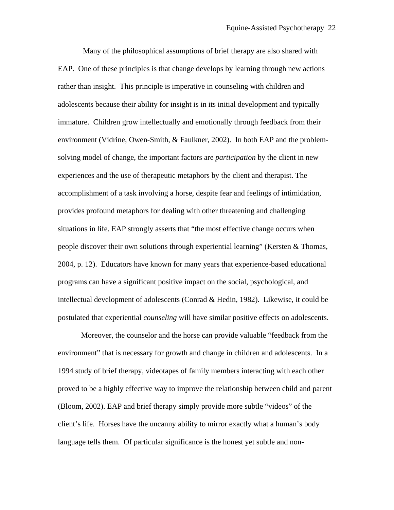Many of the philosophical assumptions of brief therapy are also shared with EAP. One of these principles is that change develops by learning through new actions rather than insight. This principle is imperative in counseling with children and adolescents because their ability for insight is in its initial development and typically immature. Children grow intellectually and emotionally through feedback from their environment (Vidrine, Owen-Smith, & Faulkner, 2002). In both EAP and the problemsolving model of change, the important factors are *participation* by the client in new experiences and the use of therapeutic metaphors by the client and therapist. The accomplishment of a task involving a horse, despite fear and feelings of intimidation, provides profound metaphors for dealing with other threatening and challenging situations in life. EAP strongly asserts that "the most effective change occurs when people discover their own solutions through experiential learning" (Kersten & Thomas, 2004, p. 12). Educators have known for many years that experience-based educational programs can have a significant positive impact on the social, psychological, and intellectual development of adolescents (Conrad & Hedin, 1982). Likewise, it could be postulated that experiential *counseling* will have similar positive effects on adolescents.

 Moreover, the counselor and the horse can provide valuable "feedback from the environment" that is necessary for growth and change in children and adolescents. In a 1994 study of brief therapy, videotapes of family members interacting with each other proved to be a highly effective way to improve the relationship between child and parent (Bloom, 2002). EAP and brief therapy simply provide more subtle "videos" of the client's life. Horses have the uncanny ability to mirror exactly what a human's body language tells them. Of particular significance is the honest yet subtle and non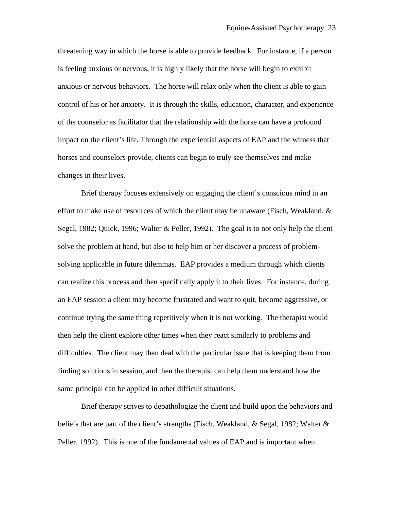threatening way in which the horse is able to provide feedback. For instance, if a person is feeling anxious or nervous, it is highly likely that the horse will begin to exhibit anxious or nervous behaviors. The horse will relax only when the client is able to gain control of his or her anxiety. It is through the skills, education, character, and experience of the counselor as facilitator that the relationship with the horse can have a profound impact on the client's life. Through the experiential aspects of EAP and the witness that horses and counselors provide, clients can begin to truly see themselves and make changes in their lives.

 Brief therapy focuses extensively on engaging the client's conscious mind in an effort to make use of resources of which the client may be unaware (Fisch, Weakland, & Segal, 1982; Quick, 1996; Walter & Peller, 1992). The goal is to not only help the client solve the problem at hand, but also to help him or her discover a process of problemsolving applicable in future dilemmas. EAP provides a medium through which clients can realize this process and then specifically apply it to their lives. For instance, during an EAP session a client may become frustrated and want to quit, become aggressive, or continue trying the same thing repetitively when it is not working. The therapist would then help the client explore other times when they react similarly to problems and difficulties. The client may then deal with the particular issue that is keeping them from finding solutions in session, and then the therapist can help them understand how the same principal can be applied in other difficult situations.

 Brief therapy strives to depathologize the client and build upon the behaviors and beliefs that are part of the client's strengths (Fisch, Weakland, & Segal, 1982; Walter  $\&$ Peller, 1992). This is one of the fundamental values of EAP and is important when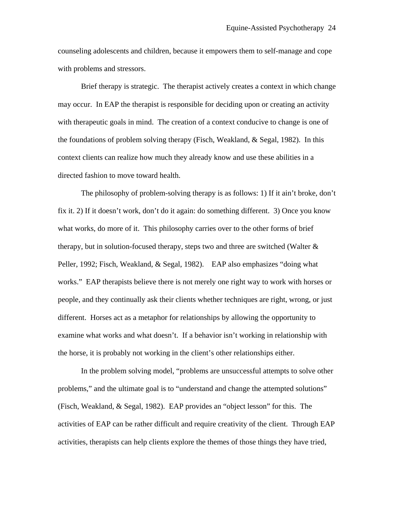counseling adolescents and children, because it empowers them to self-manage and cope with problems and stressors.

 Brief therapy is strategic. The therapist actively creates a context in which change may occur. In EAP the therapist is responsible for deciding upon or creating an activity with therapeutic goals in mind. The creation of a context conducive to change is one of the foundations of problem solving therapy (Fisch, Weakland, & Segal, 1982). In this context clients can realize how much they already know and use these abilities in a directed fashion to move toward health.

 The philosophy of problem-solving therapy is as follows: 1) If it ain't broke, don't fix it. 2) If it doesn't work, don't do it again: do something different. 3) Once you know what works, do more of it. This philosophy carries over to the other forms of brief therapy, but in solution-focused therapy, steps two and three are switched (Walter & Peller, 1992; Fisch, Weakland, & Segal, 1982). EAP also emphasizes "doing what works." EAP therapists believe there is not merely one right way to work with horses or people, and they continually ask their clients whether techniques are right, wrong, or just different. Horses act as a metaphor for relationships by allowing the opportunity to examine what works and what doesn't. If a behavior isn't working in relationship with the horse, it is probably not working in the client's other relationships either.

 In the problem solving model, "problems are unsuccessful attempts to solve other problems," and the ultimate goal is to "understand and change the attempted solutions" (Fisch, Weakland, & Segal, 1982). EAP provides an "object lesson" for this. The activities of EAP can be rather difficult and require creativity of the client. Through EAP activities, therapists can help clients explore the themes of those things they have tried,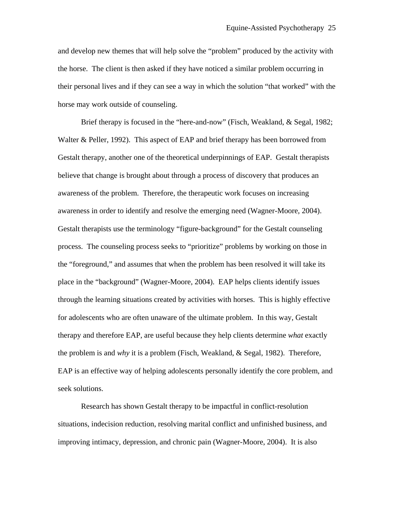and develop new themes that will help solve the "problem" produced by the activity with the horse. The client is then asked if they have noticed a similar problem occurring in their personal lives and if they can see a way in which the solution "that worked" with the horse may work outside of counseling.

 Brief therapy is focused in the "here-and-now" (Fisch, Weakland, & Segal, 1982; Walter & Peller, 1992). This aspect of EAP and brief therapy has been borrowed from Gestalt therapy, another one of the theoretical underpinnings of EAP. Gestalt therapists believe that change is brought about through a process of discovery that produces an awareness of the problem. Therefore, the therapeutic work focuses on increasing awareness in order to identify and resolve the emerging need (Wagner-Moore, 2004). Gestalt therapists use the terminology "figure-background" for the Gestalt counseling process. The counseling process seeks to "prioritize" problems by working on those in the "foreground," and assumes that when the problem has been resolved it will take its place in the "background" (Wagner-Moore, 2004). EAP helps clients identify issues through the learning situations created by activities with horses. This is highly effective for adolescents who are often unaware of the ultimate problem. In this way, Gestalt therapy and therefore EAP, are useful because they help clients determine *what* exactly the problem is and *why* it is a problem (Fisch, Weakland, & Segal, 1982). Therefore, EAP is an effective way of helping adolescents personally identify the core problem, and seek solutions.

 Research has shown Gestalt therapy to be impactful in conflict-resolution situations, indecision reduction, resolving marital conflict and unfinished business, and improving intimacy, depression, and chronic pain (Wagner-Moore, 2004). It is also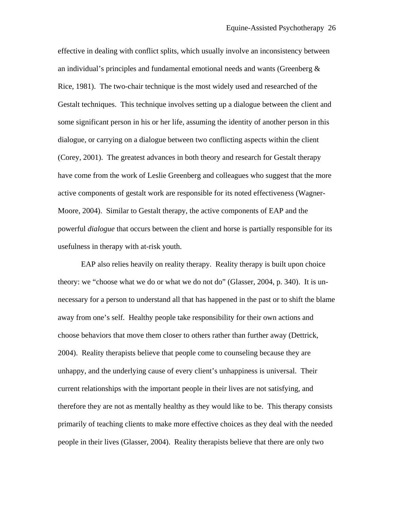effective in dealing with conflict splits, which usually involve an inconsistency between an individual's principles and fundamental emotional needs and wants (Greenberg & Rice, 1981). The two-chair technique is the most widely used and researched of the Gestalt techniques. This technique involves setting up a dialogue between the client and some significant person in his or her life, assuming the identity of another person in this dialogue, or carrying on a dialogue between two conflicting aspects within the client (Corey, 2001). The greatest advances in both theory and research for Gestalt therapy have come from the work of Leslie Greenberg and colleagues who suggest that the more active components of gestalt work are responsible for its noted effectiveness (Wagner-Moore, 2004). Similar to Gestalt therapy, the active components of EAP and the powerful *dialogue* that occurs between the client and horse is partially responsible for its usefulness in therapy with at-risk youth.

 EAP also relies heavily on reality therapy. Reality therapy is built upon choice theory: we "choose what we do or what we do not do" (Glasser, 2004, p. 340). It is unnecessary for a person to understand all that has happened in the past or to shift the blame away from one's self. Healthy people take responsibility for their own actions and choose behaviors that move them closer to others rather than further away (Dettrick, 2004). Reality therapists believe that people come to counseling because they are unhappy, and the underlying cause of every client's unhappiness is universal. Their current relationships with the important people in their lives are not satisfying, and therefore they are not as mentally healthy as they would like to be. This therapy consists primarily of teaching clients to make more effective choices as they deal with the needed people in their lives (Glasser, 2004). Reality therapists believe that there are only two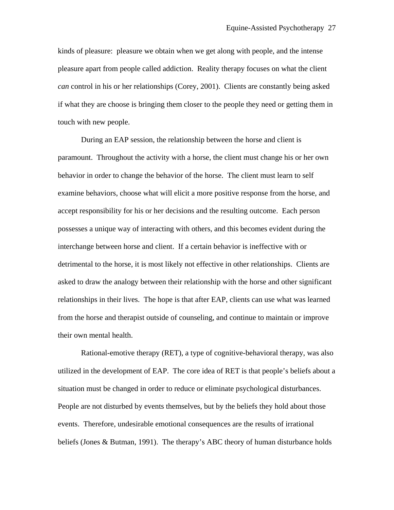kinds of pleasure: pleasure we obtain when we get along with people, and the intense pleasure apart from people called addiction. Reality therapy focuses on what the client *can* control in his or her relationships (Corey, 2001). Clients are constantly being asked if what they are choose is bringing them closer to the people they need or getting them in touch with new people.

 During an EAP session, the relationship between the horse and client is paramount. Throughout the activity with a horse, the client must change his or her own behavior in order to change the behavior of the horse. The client must learn to self examine behaviors, choose what will elicit a more positive response from the horse, and accept responsibility for his or her decisions and the resulting outcome. Each person possesses a unique way of interacting with others, and this becomes evident during the interchange between horse and client. If a certain behavior is ineffective with or detrimental to the horse, it is most likely not effective in other relationships. Clients are asked to draw the analogy between their relationship with the horse and other significant relationships in their lives. The hope is that after EAP, clients can use what was learned from the horse and therapist outside of counseling, and continue to maintain or improve their own mental health.

 Rational-emotive therapy (RET), a type of cognitive-behavioral therapy, was also utilized in the development of EAP. The core idea of RET is that people's beliefs about a situation must be changed in order to reduce or eliminate psychological disturbances. People are not disturbed by events themselves, but by the beliefs they hold about those events. Therefore, undesirable emotional consequences are the results of irrational beliefs (Jones & Butman, 1991). The therapy's ABC theory of human disturbance holds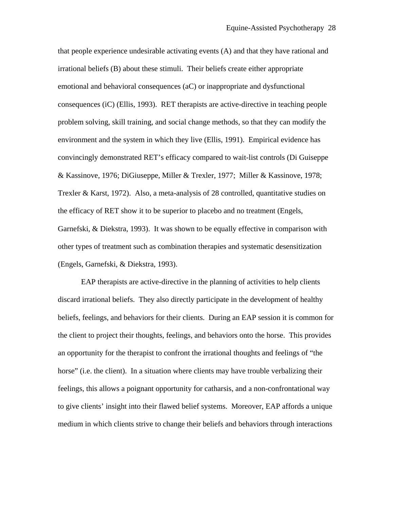that people experience undesirable activating events (A) and that they have rational and irrational beliefs (B) about these stimuli. Their beliefs create either appropriate emotional and behavioral consequences (aC) or inappropriate and dysfunctional consequences (iC) (Ellis, 1993). RET therapists are active-directive in teaching people problem solving, skill training, and social change methods, so that they can modify the environment and the system in which they live (Ellis, 1991). Empirical evidence has convincingly demonstrated RET's efficacy compared to wait-list controls (Di Guiseppe & Kassinove, 1976; DiGiuseppe, Miller & Trexler, 1977; Miller & Kassinove, 1978; Trexler & Karst, 1972). Also, a meta-analysis of 28 controlled, quantitative studies on the efficacy of RET show it to be superior to placebo and no treatment (Engels, Garnefski, & Diekstra, 1993). It was shown to be equally effective in comparison with other types of treatment such as combination therapies and systematic desensitization (Engels, Garnefski, & Diekstra, 1993).

 EAP therapists are active-directive in the planning of activities to help clients discard irrational beliefs. They also directly participate in the development of healthy beliefs, feelings, and behaviors for their clients. During an EAP session it is common for the client to project their thoughts, feelings, and behaviors onto the horse. This provides an opportunity for the therapist to confront the irrational thoughts and feelings of "the horse" (i.e. the client). In a situation where clients may have trouble verbalizing their feelings, this allows a poignant opportunity for catharsis, and a non-confrontational way to give clients' insight into their flawed belief systems. Moreover, EAP affords a unique medium in which clients strive to change their beliefs and behaviors through interactions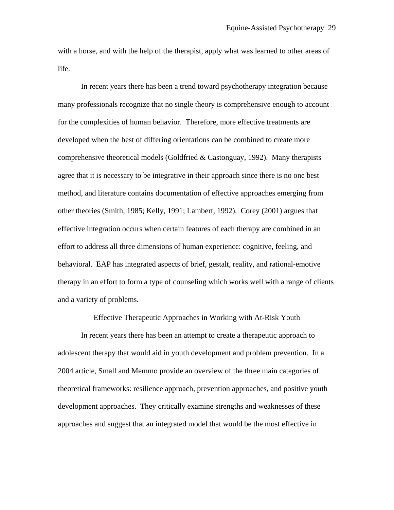with a horse, and with the help of the therapist, apply what was learned to other areas of life.

 In recent years there has been a trend toward psychotherapy integration because many professionals recognize that no single theory is comprehensive enough to account for the complexities of human behavior. Therefore, more effective treatments are developed when the best of differing orientations can be combined to create more comprehensive theoretical models (Goldfried & Castonguay, 1992). Many therapists agree that it is necessary to be integrative in their approach since there is no one best method, and literature contains documentation of effective approaches emerging from other theories (Smith, 1985; Kelly, 1991; Lambert, 1992). Corey (2001) argues that effective integration occurs when certain features of each therapy are combined in an effort to address all three dimensions of human experience: cognitive, feeling, and behavioral. EAP has integrated aspects of brief, gestalt, reality, and rational-emotive therapy in an effort to form a type of counseling which works well with a range of clients and a variety of problems.

Effective Therapeutic Approaches in Working with At-Risk Youth

In recent years there has been an attempt to create a therapeutic approach to adolescent therapy that would aid in youth development and problem prevention. In a 2004 article, Small and Memmo provide an overview of the three main categories of theoretical frameworks: resilience approach, prevention approaches, and positive youth development approaches. They critically examine strengths and weaknesses of these approaches and suggest that an integrated model that would be the most effective in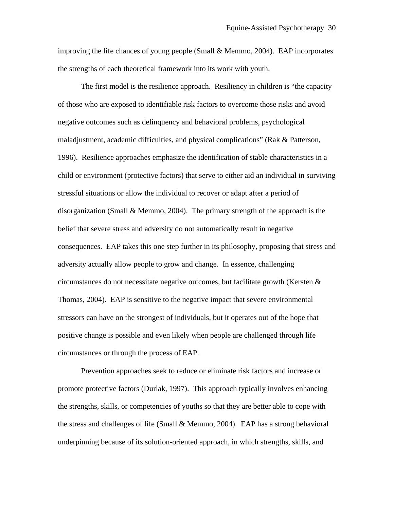improving the life chances of young people (Small & Memmo, 2004). EAP incorporates the strengths of each theoretical framework into its work with youth.

 The first model is the resilience approach. Resiliency in children is "the capacity of those who are exposed to identifiable risk factors to overcome those risks and avoid negative outcomes such as delinquency and behavioral problems, psychological maladjustment, academic difficulties, and physical complications" (Rak & Patterson, 1996). Resilience approaches emphasize the identification of stable characteristics in a child or environment (protective factors) that serve to either aid an individual in surviving stressful situations or allow the individual to recover or adapt after a period of disorganization (Small & Memmo, 2004). The primary strength of the approach is the belief that severe stress and adversity do not automatically result in negative consequences. EAP takes this one step further in its philosophy, proposing that stress and adversity actually allow people to grow and change. In essence, challenging circumstances do not necessitate negative outcomes, but facilitate growth (Kersten  $\&$ Thomas, 2004). EAP is sensitive to the negative impact that severe environmental stressors can have on the strongest of individuals, but it operates out of the hope that positive change is possible and even likely when people are challenged through life circumstances or through the process of EAP.

 Prevention approaches seek to reduce or eliminate risk factors and increase or promote protective factors (Durlak, 1997). This approach typically involves enhancing the strengths, skills, or competencies of youths so that they are better able to cope with the stress and challenges of life (Small  $\&$  Memmo, 2004). EAP has a strong behavioral underpinning because of its solution-oriented approach, in which strengths, skills, and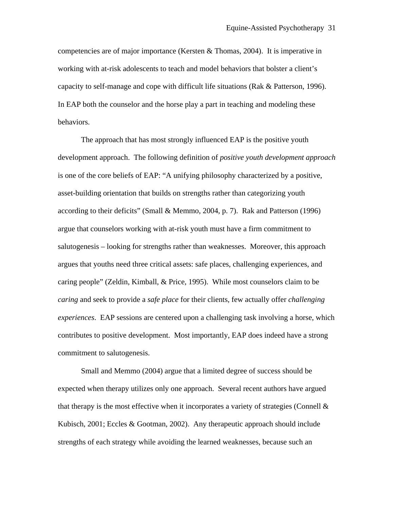competencies are of major importance (Kersten & Thomas, 2004). It is imperative in working with at-risk adolescents to teach and model behaviors that bolster a client's capacity to self-manage and cope with difficult life situations (Rak & Patterson, 1996). In EAP both the counselor and the horse play a part in teaching and modeling these behaviors.

 The approach that has most strongly influenced EAP is the positive youth development approach. The following definition of *positive youth development approach* is one of the core beliefs of EAP: "A unifying philosophy characterized by a positive, asset-building orientation that builds on strengths rather than categorizing youth according to their deficits" (Small & Memmo, 2004, p. 7). Rak and Patterson (1996) argue that counselors working with at-risk youth must have a firm commitment to salutogenesis – looking for strengths rather than weaknesses. Moreover, this approach argues that youths need three critical assets: safe places, challenging experiences, and caring people" (Zeldin, Kimball, & Price, 1995). While most counselors claim to be *caring* and seek to provide a *safe place* for their clients, few actually offer *challenging experiences*. EAP sessions are centered upon a challenging task involving a horse, which contributes to positive development. Most importantly, EAP does indeed have a strong commitment to salutogenesis.

 Small and Memmo (2004) argue that a limited degree of success should be expected when therapy utilizes only one approach. Several recent authors have argued that therapy is the most effective when it incorporates a variety of strategies (Connell  $\&$ Kubisch, 2001; Eccles & Gootman, 2002). Any therapeutic approach should include strengths of each strategy while avoiding the learned weaknesses, because such an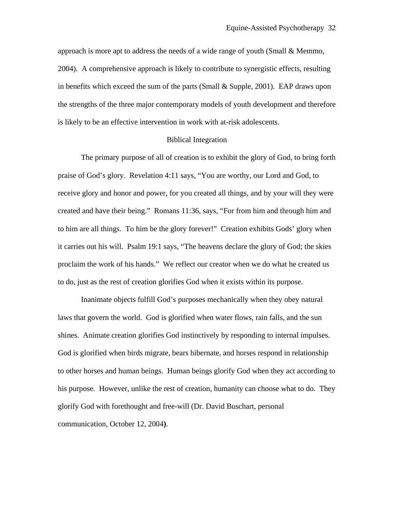approach is more apt to address the needs of a wide range of youth (Small & Memmo, 2004). A comprehensive approach is likely to contribute to synergistic effects, resulting in benefits which exceed the sum of the parts (Small & Supple, 2001). EAP draws upon the strengths of the three major contemporary models of youth development and therefore is likely to be an effective intervention in work with at-risk adolescents.

## Biblical Integration

 The primary purpose of all of creation is to exhibit the glory of God, to bring forth praise of God's glory. Revelation 4:11 says, "You are worthy, our Lord and God, to receive glory and honor and power, for you created all things, and by your will they were created and have their being." Romans 11:36, says, "For from him and through him and to him are all things. To him be the glory forever!" Creation exhibits Gods' glory when it carries out his will. Psalm 19:1 says, "The heavens declare the glory of God; the skies proclaim the work of his hands." We reflect our creator when we do what he created us to do, just as the rest of creation glorifies God when it exists within its purpose.

 Inanimate objects fulfill God's purposes mechanically when they obey natural laws that govern the world. God is glorified when water flows, rain falls, and the sun shines. Animate creation glorifies God instinctively by responding to internal impulses. God is glorified when birds migrate, bears hibernate, and horses respond in relationship to other horses and human beings. Human beings glorify God when they act according to his purpose. However, unlike the rest of creation, humanity can choose what to do. They glorify God with forethought and free-will (Dr. David Buschart, personal communication, October 12, 2004**)**.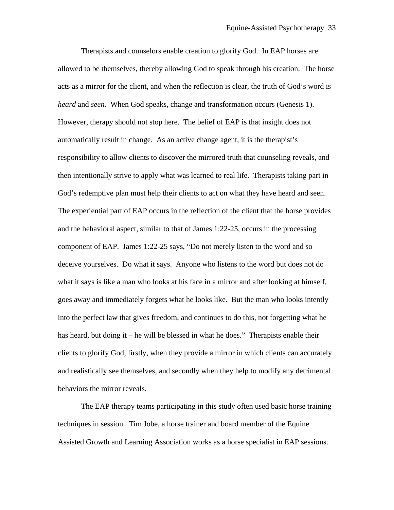Therapists and counselors enable creation to glorify God. In EAP horses are allowed to be themselves, thereby allowing God to speak through his creation. The horse acts as a mirror for the client, and when the reflection is clear, the truth of God's word is *heard* and *seen*. When God speaks, change and transformation occurs (Genesis 1). However, therapy should not stop here. The belief of EAP is that insight does not automatically result in change. As an active change agent, it is the therapist's responsibility to allow clients to discover the mirrored truth that counseling reveals, and then intentionally strive to apply what was learned to real life. Therapists taking part in God's redemptive plan must help their clients to act on what they have heard and seen. The experiential part of EAP occurs in the reflection of the client that the horse provides and the behavioral aspect, similar to that of James 1:22-25, occurs in the processing component of EAP. James 1:22-25 says, "Do not merely listen to the word and so deceive yourselves. Do what it says. Anyone who listens to the word but does not do what it says is like a man who looks at his face in a mirror and after looking at himself, goes away and immediately forgets what he looks like. But the man who looks intently into the perfect law that gives freedom, and continues to do this, not forgetting what he has heard, but doing it – he will be blessed in what he does." Therapists enable their clients to glorify God, firstly, when they provide a mirror in which clients can accurately and realistically see themselves, and secondly when they help to modify any detrimental behaviors the mirror reveals.

 The EAP therapy teams participating in this study often used basic horse training techniques in session. Tim Jobe, a horse trainer and board member of the Equine Assisted Growth and Learning Association works as a horse specialist in EAP sessions.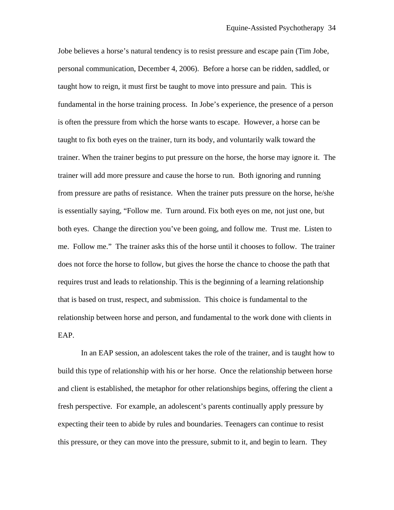Jobe believes a horse's natural tendency is to resist pressure and escape pain (Tim Jobe, personal communication, December 4, 2006). Before a horse can be ridden, saddled, or taught how to reign, it must first be taught to move into pressure and pain. This is fundamental in the horse training process. In Jobe's experience, the presence of a person is often the pressure from which the horse wants to escape. However, a horse can be taught to fix both eyes on the trainer, turn its body, and voluntarily walk toward the trainer. When the trainer begins to put pressure on the horse, the horse may ignore it. The trainer will add more pressure and cause the horse to run. Both ignoring and running from pressure are paths of resistance. When the trainer puts pressure on the horse, he/she is essentially saying, "Follow me. Turn around. Fix both eyes on me, not just one, but both eyes. Change the direction you've been going, and follow me. Trust me. Listen to me. Follow me." The trainer asks this of the horse until it chooses to follow. The trainer does not force the horse to follow, but gives the horse the chance to choose the path that requires trust and leads to relationship. This is the beginning of a learning relationship that is based on trust, respect, and submission. This choice is fundamental to the relationship between horse and person, and fundamental to the work done with clients in EAP.

 In an EAP session, an adolescent takes the role of the trainer, and is taught how to build this type of relationship with his or her horse. Once the relationship between horse and client is established, the metaphor for other relationships begins, offering the client a fresh perspective. For example, an adolescent's parents continually apply pressure by expecting their teen to abide by rules and boundaries. Teenagers can continue to resist this pressure, or they can move into the pressure, submit to it, and begin to learn. They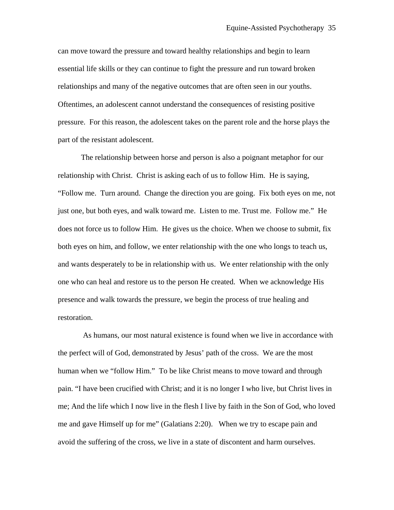can move toward the pressure and toward healthy relationships and begin to learn essential life skills or they can continue to fight the pressure and run toward broken relationships and many of the negative outcomes that are often seen in our youths. Oftentimes, an adolescent cannot understand the consequences of resisting positive pressure. For this reason, the adolescent takes on the parent role and the horse plays the part of the resistant adolescent.

The relationship between horse and person is also a poignant metaphor for our relationship with Christ. Christ is asking each of us to follow Him. He is saying, "Follow me. Turn around. Change the direction you are going. Fix both eyes on me, not just one, but both eyes, and walk toward me. Listen to me. Trust me. Follow me." He does not force us to follow Him. He gives us the choice. When we choose to submit, fix both eyes on him, and follow, we enter relationship with the one who longs to teach us, and wants desperately to be in relationship with us. We enter relationship with the only one who can heal and restore us to the person He created. When we acknowledge His presence and walk towards the pressure, we begin the process of true healing and restoration.

 As humans, our most natural existence is found when we live in accordance with the perfect will of God, demonstrated by Jesus' path of the cross. We are the most human when we "follow Him." To be like Christ means to move toward and through pain. "I have been crucified with Christ; and it is no longer I who live, but Christ lives in me; And the life which I now live in the flesh I live by faith in the Son of God, who loved me and gave Himself up for me" (Galatians 2:20). When we try to escape pain and avoid the suffering of the cross, we live in a state of discontent and harm ourselves.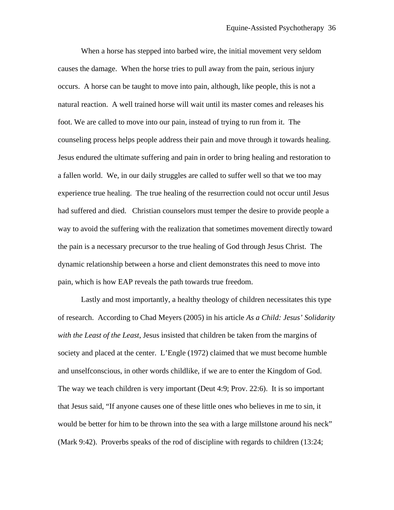When a horse has stepped into barbed wire, the initial movement very seldom causes the damage. When the horse tries to pull away from the pain, serious injury occurs. A horse can be taught to move into pain, although, like people, this is not a natural reaction. A well trained horse will wait until its master comes and releases his foot. We are called to move into our pain, instead of trying to run from it. The counseling process helps people address their pain and move through it towards healing. Jesus endured the ultimate suffering and pain in order to bring healing and restoration to a fallen world. We, in our daily struggles are called to suffer well so that we too may experience true healing. The true healing of the resurrection could not occur until Jesus had suffered and died. Christian counselors must temper the desire to provide people a way to avoid the suffering with the realization that sometimes movement directly toward the pain is a necessary precursor to the true healing of God through Jesus Christ. The dynamic relationship between a horse and client demonstrates this need to move into pain, which is how EAP reveals the path towards true freedom.

 Lastly and most importantly, a healthy theology of children necessitates this type of research. According to Chad Meyers (2005) in his article *As a Child: Jesus' Solidarity with the Least of the Least*, Jesus insisted that children be taken from the margins of society and placed at the center. L'Engle (1972) claimed that we must become humble and unselfconscious, in other words childlike, if we are to enter the Kingdom of God. The way we teach children is very important (Deut 4:9; Prov. 22:6). It is so important that Jesus said, "If anyone causes one of these little ones who believes in me to sin, it would be better for him to be thrown into the sea with a large millstone around his neck" (Mark 9:42). Proverbs speaks of the rod of discipline with regards to children (13:24;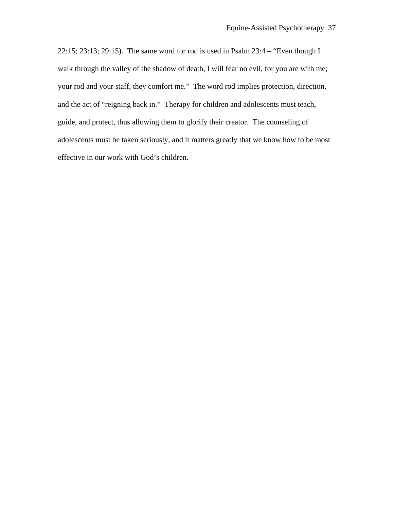22:15; 23:13; 29:15). The same word for rod is used in Psalm 23:4 – "Even though I walk through the valley of the shadow of death, I will fear no evil, for you are with me; your rod and your staff, they comfort me." The word rod implies protection, direction, and the act of "reigning back in." Therapy for children and adolescents must teach, guide, and protect, thus allowing them to glorify their creator. The counseling of adolescents must be taken seriously, and it matters greatly that we know how to be most effective in our work with God's children.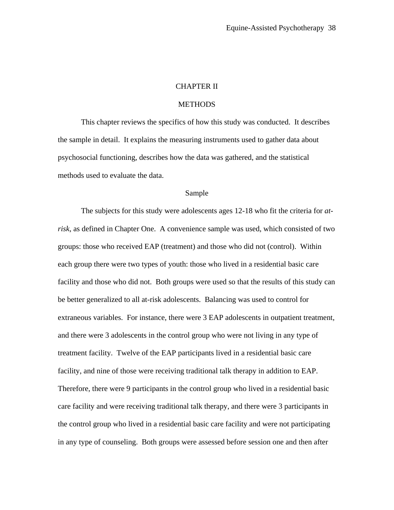## CHAPTER II

#### **METHODS**

 This chapter reviews the specifics of how this study was conducted. It describes the sample in detail. It explains the measuring instruments used to gather data about psychosocial functioning, describes how the data was gathered, and the statistical methods used to evaluate the data.

#### Sample

The subjects for this study were adolescents ages 12-18 who fit the criteria for *atrisk*, as defined in Chapter One. A convenience sample was used, which consisted of two groups: those who received EAP (treatment) and those who did not (control). Within each group there were two types of youth: those who lived in a residential basic care facility and those who did not. Both groups were used so that the results of this study can be better generalized to all at-risk adolescents. Balancing was used to control for extraneous variables. For instance, there were 3 EAP adolescents in outpatient treatment, and there were 3 adolescents in the control group who were not living in any type of treatment facility. Twelve of the EAP participants lived in a residential basic care facility, and nine of those were receiving traditional talk therapy in addition to EAP. Therefore, there were 9 participants in the control group who lived in a residential basic care facility and were receiving traditional talk therapy, and there were 3 participants in the control group who lived in a residential basic care facility and were not participating in any type of counseling. Both groups were assessed before session one and then after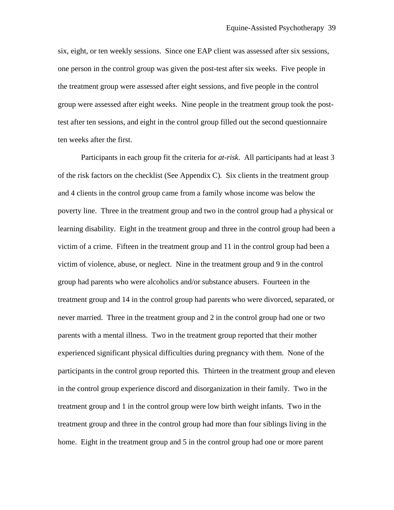six, eight, or ten weekly sessions. Since one EAP client was assessed after six sessions, one person in the control group was given the post-test after six weeks. Five people in the treatment group were assessed after eight sessions, and five people in the control group were assessed after eight weeks. Nine people in the treatment group took the posttest after ten sessions, and eight in the control group filled out the second questionnaire ten weeks after the first.

 Participants in each group fit the criteria for *at-risk*. All participants had at least 3 of the risk factors on the checklist (See Appendix C)*.* Six clients in the treatment group and 4 clients in the control group came from a family whose income was below the poverty line. Three in the treatment group and two in the control group had a physical or learning disability. Eight in the treatment group and three in the control group had been a victim of a crime. Fifteen in the treatment group and 11 in the control group had been a victim of violence, abuse, or neglect. Nine in the treatment group and 9 in the control group had parents who were alcoholics and/or substance abusers. Fourteen in the treatment group and 14 in the control group had parents who were divorced, separated, or never married. Three in the treatment group and 2 in the control group had one or two parents with a mental illness. Two in the treatment group reported that their mother experienced significant physical difficulties during pregnancy with them. None of the participants in the control group reported this. Thirteen in the treatment group and eleven in the control group experience discord and disorganization in their family. Two in the treatment group and 1 in the control group were low birth weight infants. Two in the treatment group and three in the control group had more than four siblings living in the home. Eight in the treatment group and 5 in the control group had one or more parent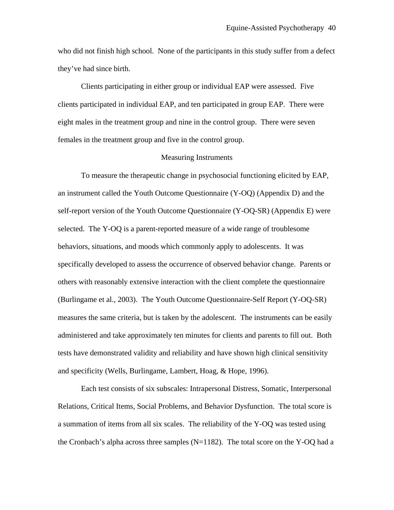who did not finish high school. None of the participants in this study suffer from a defect they've had since birth.

 Clients participating in either group or individual EAP were assessed. Five clients participated in individual EAP, and ten participated in group EAP. There were eight males in the treatment group and nine in the control group. There were seven females in the treatment group and five in the control group.

#### Measuring Instruments

To measure the therapeutic change in psychosocial functioning elicited by EAP, an instrument called the Youth Outcome Questionnaire (Y-OQ) (Appendix D) and the self-report version of the Youth Outcome Questionnaire (Y-OQ-SR) (Appendix E) were selected. The Y-OQ is a parent-reported measure of a wide range of troublesome behaviors, situations, and moods which commonly apply to adolescents. It was specifically developed to assess the occurrence of observed behavior change. Parents or others with reasonably extensive interaction with the client complete the questionnaire (Burlingame et al., 2003). The Youth Outcome Questionnaire-Self Report (Y-OQ-SR) measures the same criteria, but is taken by the adolescent. The instruments can be easily administered and take approximately ten minutes for clients and parents to fill out. Both tests have demonstrated validity and reliability and have shown high clinical sensitivity and specificity (Wells, Burlingame, Lambert, Hoag, & Hope, 1996).

 Each test consists of six subscales: Intrapersonal Distress, Somatic, Interpersonal Relations, Critical Items, Social Problems, and Behavior Dysfunction. The total score is a summation of items from all six scales. The reliability of the Y-OQ was tested using the Cronbach's alpha across three samples  $(N=1182)$ . The total score on the Y-OQ had a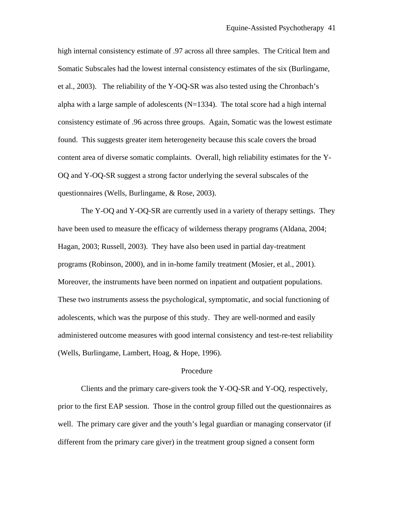high internal consistency estimate of .97 across all three samples. The Critical Item and Somatic Subscales had the lowest internal consistency estimates of the six (Burlingame, et al., 2003). The reliability of the Y-OQ-SR was also tested using the Chronbach's alpha with a large sample of adolescents  $(N=1334)$ . The total score had a high internal consistency estimate of .96 across three groups. Again, Somatic was the lowest estimate found. This suggests greater item heterogeneity because this scale covers the broad content area of diverse somatic complaints. Overall, high reliability estimates for the Y-OQ and Y-OQ-SR suggest a strong factor underlying the several subscales of the questionnaires (Wells, Burlingame, & Rose, 2003).

 The Y-OQ and Y-OQ-SR are currently used in a variety of therapy settings. They have been used to measure the efficacy of wilderness therapy programs (Aldana, 2004; Hagan, 2003; Russell, 2003). They have also been used in partial day-treatment programs (Robinson, 2000), and in in-home family treatment (Mosier, et al., 2001). Moreover, the instruments have been normed on inpatient and outpatient populations. These two instruments assess the psychological, symptomatic, and social functioning of adolescents, which was the purpose of this study. They are well-normed and easily administered outcome measures with good internal consistency and test-re-test reliability (Wells, Burlingame, Lambert, Hoag, & Hope, 1996).

#### Procedure

Clients and the primary care-givers took the Y-OQ-SR and Y-OQ, respectively, prior to the first EAP session. Those in the control group filled out the questionnaires as well. The primary care giver and the youth's legal guardian or managing conservator (if different from the primary care giver) in the treatment group signed a consent form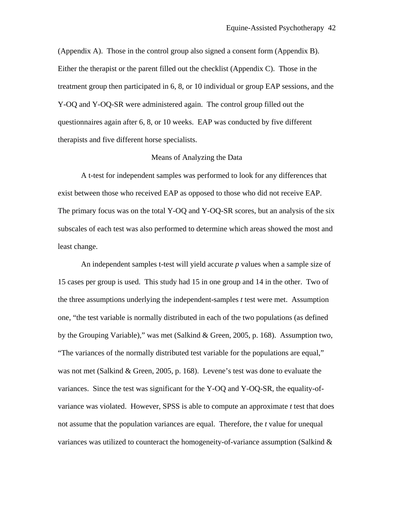(Appendix A). Those in the control group also signed a consent form (Appendix B). Either the therapist or the parent filled out the checklist (Appendix C). Those in the treatment group then participated in 6, 8, or 10 individual or group EAP sessions, and the Y-OQ and Y-OQ-SR were administered again. The control group filled out the questionnaires again after 6, 8, or 10 weeks. EAP was conducted by five different therapists and five different horse specialists.

#### Means of Analyzing the Data

 A t-test for independent samples was performed to look for any differences that exist between those who received EAP as opposed to those who did not receive EAP. The primary focus was on the total Y-OQ and Y-OQ-SR scores, but an analysis of the six subscales of each test was also performed to determine which areas showed the most and least change.

 An independent samples t-test will yield accurate *p* values when a sample size of 15 cases per group is used. This study had 15 in one group and 14 in the other. Two of the three assumptions underlying the independent-samples *t* test were met. Assumption one, "the test variable is normally distributed in each of the two populations (as defined by the Grouping Variable)," was met (Salkind & Green, 2005, p. 168). Assumption two, "The variances of the normally distributed test variable for the populations are equal," was not met (Salkind & Green, 2005, p. 168). Levene's test was done to evaluate the variances. Since the test was significant for the Y-OQ and Y-OQ-SR, the equality-ofvariance was violated. However, SPSS is able to compute an approximate *t* test that does not assume that the population variances are equal. Therefore, the *t* value for unequal variances was utilized to counteract the homogeneity-of-variance assumption (Salkind  $\&$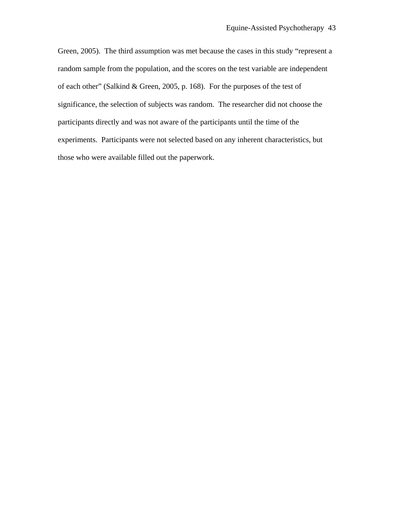Green, 2005). The third assumption was met because the cases in this study "represent a random sample from the population, and the scores on the test variable are independent of each other" (Salkind & Green, 2005, p. 168). For the purposes of the test of significance, the selection of subjects was random. The researcher did not choose the participants directly and was not aware of the participants until the time of the experiments. Participants were not selected based on any inherent characteristics, but those who were available filled out the paperwork.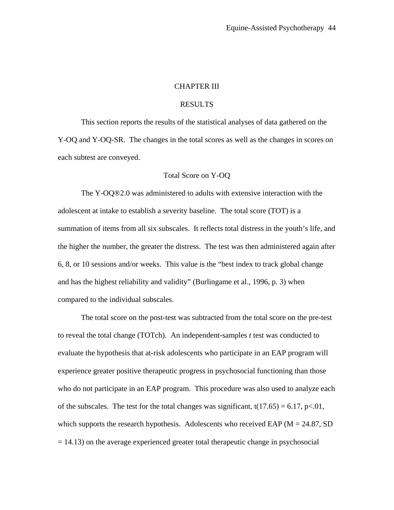# CHAPTER III

## RESULTS

 This section reports the results of the statistical analyses of data gathered on the Y-OQ and Y-OQ-SR. The changes in the total scores as well as the changes in scores on each subtest are conveyed.

#### Total Score on Y-OQ

 The Y-OQ®2.0 was administered to adults with extensive interaction with the adolescent at intake to establish a severity baseline. The total score (TOT) is a summation of items from all six subscales. It reflects total distress in the youth's life, and the higher the number, the greater the distress. The test was then administered again after 6, 8, or 10 sessions and/or weeks. This value is the "best index to track global change and has the highest reliability and validity" (Burlingame et al., 1996, p. 3) when compared to the individual subscales.

 The total score on the post-test was subtracted from the total score on the pre-test to reveal the total change (TOTch). An independent-samples  $t$  test was conducted to evaluate the hypothesis that at-risk adolescents who participate in an EAP program will experience greater positive therapeutic progress in psychosocial functioning than those who do not participate in an EAP program. This procedure was also used to analyze each of the subscales. The test for the total changes was significant,  $t(17.65) = 6.17$ ,  $p<0.01$ , which supports the research hypothesis. Adolescents who received EAP ( $M = 24.87$ , SD = 14.13) on the average experienced greater total therapeutic change in psychosocial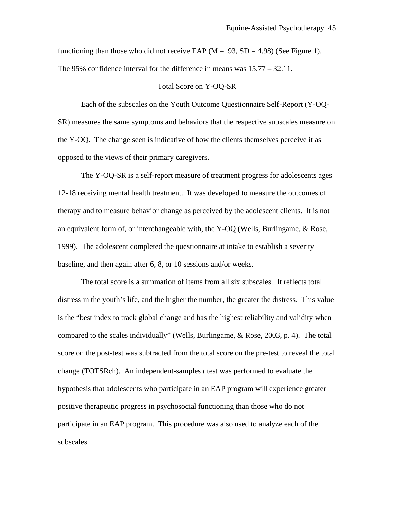functioning than those who did not receive EAP ( $M = .93$ , SD = 4.98) (See Figure 1). The 95% confidence interval for the difference in means was 15.77 – 32.11.

#### Total Score on Y-OQ-SR

Each of the subscales on the Youth Outcome Questionnaire Self-Report (Y-OQ-SR) measures the same symptoms and behaviors that the respective subscales measure on the Y-OQ. The change seen is indicative of how the clients themselves perceive it as opposed to the views of their primary caregivers.

 The Y-OQ-SR is a self-report measure of treatment progress for adolescents ages 12-18 receiving mental health treatment. It was developed to measure the outcomes of therapy and to measure behavior change as perceived by the adolescent clients. It is not an equivalent form of, or interchangeable with, the Y-OQ (Wells, Burlingame, & Rose, 1999). The adolescent completed the questionnaire at intake to establish a severity baseline, and then again after 6, 8, or 10 sessions and/or weeks.

 The total score is a summation of items from all six subscales. It reflects total distress in the youth's life, and the higher the number, the greater the distress. This value is the "best index to track global change and has the highest reliability and validity when compared to the scales individually" (Wells, Burlingame, & Rose, 2003, p. 4). The total score on the post-test was subtracted from the total score on the pre-test to reveal the total change (TOTSRch). An independent-samples *t* test was performed to evaluate the hypothesis that adolescents who participate in an EAP program will experience greater positive therapeutic progress in psychosocial functioning than those who do not participate in an EAP program. This procedure was also used to analyze each of the subscales.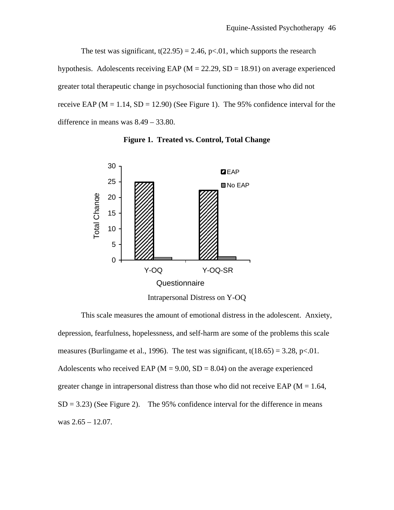The test was significant,  $t(22.95) = 2.46$ , p<.01, which supports the research hypothesis. Adolescents receiving EAP ( $M = 22.29$ , SD = 18.91) on average experienced greater total therapeutic change in psychosocial functioning than those who did not receive EAP ( $M = 1.14$ ,  $SD = 12.90$ ) (See Figure 1). The 95% confidence interval for the difference in means was 8.49 – 33.80.



**Figure 1. Treated vs. Control, Total Change** 

Intrapersonal Distress on Y-OQ

 This scale measures the amount of emotional distress in the adolescent. Anxiety, depression, fearfulness, hopelessness, and self-harm are some of the problems this scale measures (Burlingame et al., 1996). The test was significant,  $t(18.65) = 3.28$ ,  $p < 01$ . Adolescents who received EAP ( $M = 9.00$ , SD = 8.04) on the average experienced greater change in intrapersonal distress than those who did not receive EAP ( $M = 1.64$ ,  $SD = 3.23$ ) (See Figure 2). The 95% confidence interval for the difference in means was 2.65 – 12.07.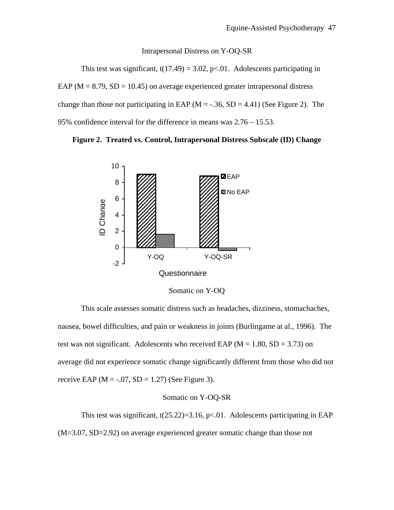#### Intrapersonal Distress on Y-OQ-SR

This test was significant,  $t(17.49) = 3.02$ , p<.01. Adolescents participating in EAP ( $M = 8.79$ ,  $SD = 10.45$ ) on average experienced greater intrapersonal distress change than those not participating in EAP ( $M = -.36$ ,  $SD = 4.41$ ) (See Figure 2). The 95% confidence interval for the difference in means was 2.76 – 15.53.





Somatic on Y-OQ

 This scale assesses somatic distress such as headaches, dizziness, stomachaches, nausea, bowel difficulties, and pain or weakness in joints (Burlingame at al., 1996). The test was not significant. Adolescents who received EAP ( $M = 1.80$ ,  $SD = 3.73$ ) on average did not experience somatic change significantly different from those who did not receive EAP ( $M = -0.07$ , SD = 1.27) (See Figure 3).

## Somatic on Y-OQ-SR

This test was significant,  $t(25.22)=3.16$ ,  $p<.01$ . Adolescents participating in EAP (M=3.07, SD=2.92) on average experienced greater somatic change than those not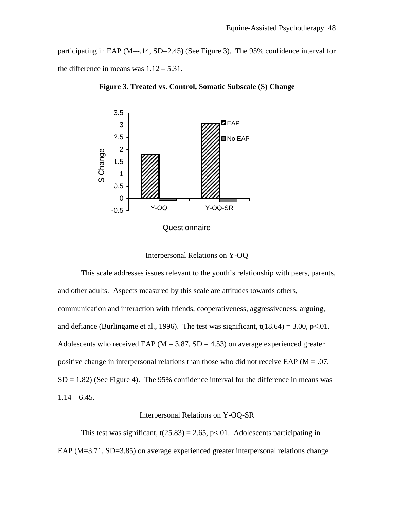participating in EAP (M=-.14, SD=2.45) (See Figure 3). The 95% confidence interval for the difference in means was  $1.12 - 5.31$ .



**Figure 3. Treated vs. Control, Somatic Subscale (S) Change** 

Interpersonal Relations on Y-OQ

 This scale addresses issues relevant to the youth's relationship with peers, parents, and other adults. Aspects measured by this scale are attitudes towards others, communication and interaction with friends, cooperativeness, aggressiveness, arguing, and defiance (Burlingame et al., 1996). The test was significant,  $t(18.64) = 3.00$ , p<.01. Adolescents who received EAP ( $M = 3.87$ , SD = 4.53) on average experienced greater positive change in interpersonal relations than those who did not receive EAP ( $M = .07$ ,  $SD = 1.82$ ) (See Figure 4). The 95% confidence interval for the difference in means was  $1.14 - 6.45$ .

#### Interpersonal Relations on Y-OQ-SR

This test was significant,  $t(25.83) = 2.65$ , p<.01. Adolescents participating in EAP (M=3.71, SD=3.85) on average experienced greater interpersonal relations change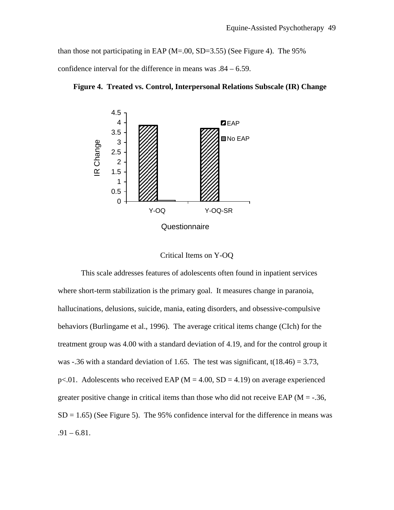than those not participating in EAP (M=.00, SD=3.55) (See Figure 4). The 95%

confidence interval for the difference in means was .84 – 6.59.



 **Figure 4. Treated vs. Control, Interpersonal Relations Subscale (IR) Change** 

| Critical Items on Y-OQ |  |
|------------------------|--|
|------------------------|--|

 This scale addresses features of adolescents often found in inpatient services where short-term stabilization is the primary goal. It measures change in paranoia, hallucinations, delusions, suicide, mania, eating disorders, and obsessive-compulsive behaviors (Burlingame et al., 1996). The average critical items change (CIch) for the treatment group was 4.00 with a standard deviation of 4.19, and for the control group it was -.36 with a standard deviation of 1.65. The test was significant,  $t(18.46) = 3.73$ ,  $p<.01$ . Adolescents who received EAP (M = 4.00, SD = 4.19) on average experienced greater positive change in critical items than those who did not receive EAP ( $M = -0.36$ ,  $SD = 1.65$ ) (See Figure 5). The 95% confidence interval for the difference in means was  $.91 - 6.81$ .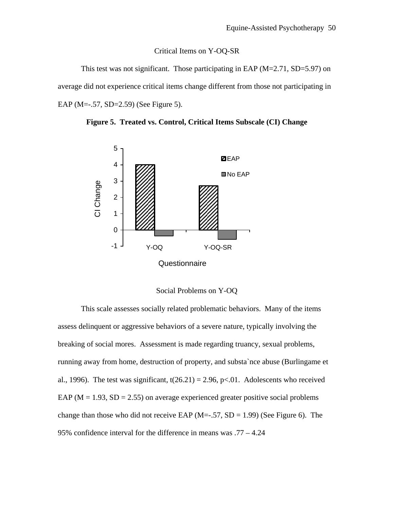#### Critical Items on Y-OQ-SR

This test was not significant. Those participating in EAP  $(M=2.71, SD=5.97)$  on average did not experience critical items change different from those not participating in EAP (M=-.57, SD=2.59) (See Figure 5).





Social Problems on Y-OQ

 This scale assesses socially related problematic behaviors. Many of the items assess delinquent or aggressive behaviors of a severe nature, typically involving the breaking of social mores. Assessment is made regarding truancy, sexual problems, running away from home, destruction of property, and substa`nce abuse (Burlingame et al., 1996). The test was significant,  $t(26.21) = 2.96$ ,  $p<0.01$ . Adolescents who received EAP ( $M = 1.93$ ,  $SD = 2.55$ ) on average experienced greater positive social problems change than those who did not receive EAP ( $M=-.57$ ,  $SD = 1.99$ ) (See Figure 6). The 95% confidence interval for the difference in means was .77 – 4.24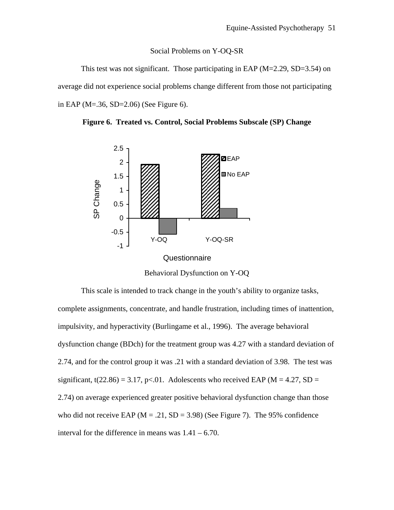#### Social Problems on Y-OQ-SR

This test was not significant. Those participating in EAP  $(M=2.29, SD=3.54)$  on average did not experience social problems change different from those not participating in EAP (M=.36, SD=2.06) (See Figure 6).





Behavioral Dysfunction on Y-OQ

 This scale is intended to track change in the youth's ability to organize tasks, complete assignments, concentrate, and handle frustration, including times of inattention, impulsivity, and hyperactivity (Burlingame et al., 1996). The average behavioral dysfunction change (BDch) for the treatment group was 4.27 with a standard deviation of 2.74, and for the control group it was .21 with a standard deviation of 3.98. The test was significant, t(22.86) = 3.17, p<.01. Adolescents who received EAP ( $M = 4.27$ , SD = 2.74) on average experienced greater positive behavioral dysfunction change than those who did not receive EAP ( $M = .21$ ,  $SD = 3.98$ ) (See Figure 7). The 95% confidence interval for the difference in means was  $1.41 - 6.70$ .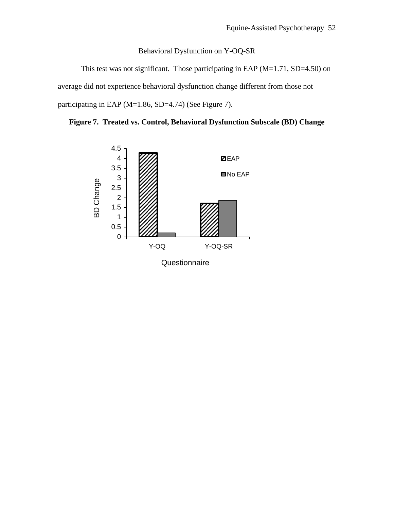# Behavioral Dysfunction on Y-OQ-SR

This test was not significant. Those participating in EAP (M=1.71, SD=4.50) on average did not experience behavioral dysfunction change different from those not participating in EAP (M=1.86, SD=4.74) (See Figure 7).



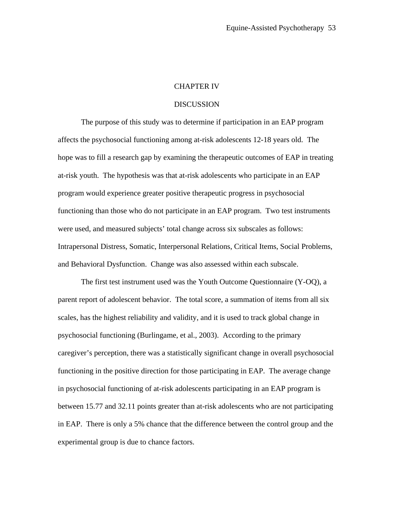## CHAPTER IV

#### **DISCUSSION**

The purpose of this study was to determine if participation in an EAP program affects the psychosocial functioning among at-risk adolescents 12-18 years old. The hope was to fill a research gap by examining the therapeutic outcomes of EAP in treating at-risk youth. The hypothesis was that at-risk adolescents who participate in an EAP program would experience greater positive therapeutic progress in psychosocial functioning than those who do not participate in an EAP program. Two test instruments were used, and measured subjects' total change across six subscales as follows: Intrapersonal Distress, Somatic, Interpersonal Relations, Critical Items, Social Problems, and Behavioral Dysfunction. Change was also assessed within each subscale.

 The first test instrument used was the Youth Outcome Questionnaire (Y-OQ), a parent report of adolescent behavior. The total score, a summation of items from all six scales, has the highest reliability and validity, and it is used to track global change in psychosocial functioning (Burlingame, et al., 2003). According to the primary caregiver's perception, there was a statistically significant change in overall psychosocial functioning in the positive direction for those participating in EAP. The average change in psychosocial functioning of at-risk adolescents participating in an EAP program is between 15.77 and 32.11 points greater than at-risk adolescents who are not participating in EAP. There is only a 5% chance that the difference between the control group and the experimental group is due to chance factors.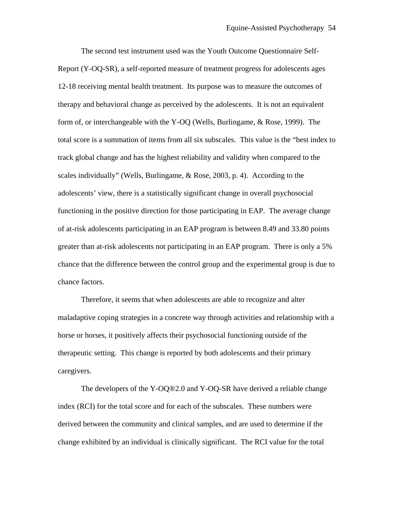The second test instrument used was the Youth Outcome Questionnaire Self-Report (Y-OQ-SR), a self-reported measure of treatment progress for adolescents ages 12-18 receiving mental health treatment. Its purpose was to measure the outcomes of therapy and behavioral change as perceived by the adolescents. It is not an equivalent form of, or interchangeable with the Y-OQ (Wells, Burlingame, & Rose, 1999). The total score is a summation of items from all six subscales. This value is the "best index to track global change and has the highest reliability and validity when compared to the scales individually" (Wells, Burlingame, & Rose, 2003, p. 4). According to the adolescents' view, there is a statistically significant change in overall psychosocial functioning in the positive direction for those participating in EAP. The average change of at-risk adolescents participating in an EAP program is between 8.49 and 33.80 points greater than at-risk adolescents not participating in an EAP program. There is only a 5% chance that the difference between the control group and the experimental group is due to chance factors.

Therefore, it seems that when adolescents are able to recognize and alter maladaptive coping strategies in a concrete way through activities and relationship with a horse or horses, it positively affects their psychosocial functioning outside of the therapeutic setting. This change is reported by both adolescents and their primary caregivers.

 The developers of the Y-OQ®2.0 and Y-OQ-SR have derived a reliable change index (RCI) for the total score and for each of the subscales. These numbers were derived between the community and clinical samples, and are used to determine if the change exhibited by an individual is clinically significant. The RCI value for the total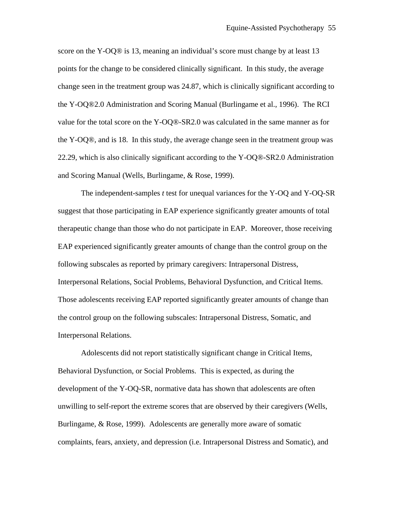score on the Y-OQ® is 13, meaning an individual's score must change by at least 13 points for the change to be considered clinically significant. In this study, the average change seen in the treatment group was 24.87, which is clinically significant according to the Y-OQ®2.0 Administration and Scoring Manual (Burlingame et al., 1996). The RCI value for the total score on the Y-OQ®-SR2.0 was calculated in the same manner as for the Y-OQ®, and is 18. In this study, the average change seen in the treatment group was 22.29, which is also clinically significant according to the Y-OQ®-SR2.0 Administration and Scoring Manual (Wells, Burlingame, & Rose, 1999).

 The independent-samples *t* test for unequal variances for the Y-OQ and Y-OQ-SR suggest that those participating in EAP experience significantly greater amounts of total therapeutic change than those who do not participate in EAP. Moreover, those receiving EAP experienced significantly greater amounts of change than the control group on the following subscales as reported by primary caregivers: Intrapersonal Distress, Interpersonal Relations, Social Problems, Behavioral Dysfunction, and Critical Items. Those adolescents receiving EAP reported significantly greater amounts of change than the control group on the following subscales: Intrapersonal Distress, Somatic, and Interpersonal Relations.

Adolescents did not report statistically significant change in Critical Items, Behavioral Dysfunction, or Social Problems. This is expected, as during the development of the Y-OQ-SR, normative data has shown that adolescents are often unwilling to self-report the extreme scores that are observed by their caregivers (Wells, Burlingame, & Rose, 1999). Adolescents are generally more aware of somatic complaints, fears, anxiety, and depression (i.e. Intrapersonal Distress and Somatic), and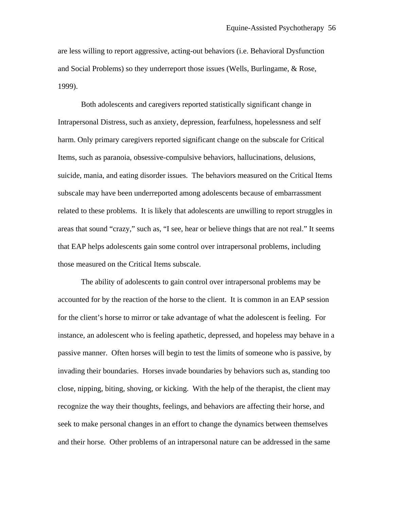are less willing to report aggressive, acting-out behaviors (i.e. Behavioral Dysfunction and Social Problems) so they underreport those issues (Wells, Burlingame, & Rose, 1999).

 Both adolescents and caregivers reported statistically significant change in Intrapersonal Distress, such as anxiety, depression, fearfulness, hopelessness and self harm. Only primary caregivers reported significant change on the subscale for Critical Items, such as paranoia, obsessive-compulsive behaviors, hallucinations, delusions, suicide, mania, and eating disorder issues. The behaviors measured on the Critical Items subscale may have been underreported among adolescents because of embarrassment related to these problems. It is likely that adolescents are unwilling to report struggles in areas that sound "crazy," such as, "I see, hear or believe things that are not real." It seems that EAP helps adolescents gain some control over intrapersonal problems, including those measured on the Critical Items subscale.

The ability of adolescents to gain control over intrapersonal problems may be accounted for by the reaction of the horse to the client. It is common in an EAP session for the client's horse to mirror or take advantage of what the adolescent is feeling. For instance, an adolescent who is feeling apathetic, depressed, and hopeless may behave in a passive manner. Often horses will begin to test the limits of someone who is passive, by invading their boundaries. Horses invade boundaries by behaviors such as, standing too close, nipping, biting, shoving, or kicking. With the help of the therapist, the client may recognize the way their thoughts, feelings, and behaviors are affecting their horse, and seek to make personal changes in an effort to change the dynamics between themselves and their horse. Other problems of an intrapersonal nature can be addressed in the same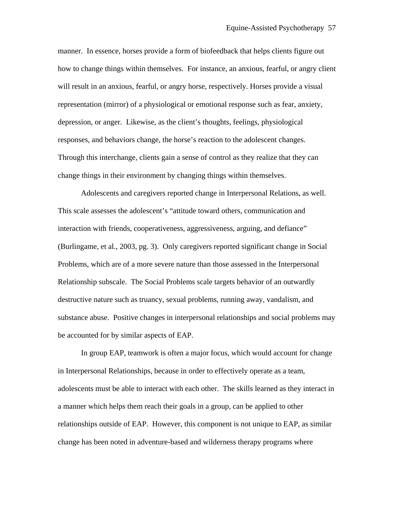manner. In essence, horses provide a form of biofeedback that helps clients figure out how to change things within themselves. For instance, an anxious, fearful, or angry client will result in an anxious, fearful, or angry horse, respectively. Horses provide a visual representation (mirror) of a physiological or emotional response such as fear, anxiety, depression, or anger. Likewise, as the client's thoughts, feelings, physiological responses, and behaviors change, the horse's reaction to the adolescent changes. Through this interchange, clients gain a sense of control as they realize that they can change things in their environment by changing things within themselves.

 Adolescents and caregivers reported change in Interpersonal Relations, as well. This scale assesses the adolescent's "attitude toward others, communication and interaction with friends, cooperativeness, aggressiveness, arguing, and defiance" (Burlingame, et al., 2003, pg. 3). Only caregivers reported significant change in Social Problems, which are of a more severe nature than those assessed in the Interpersonal Relationship subscale. The Social Problems scale targets behavior of an outwardly destructive nature such as truancy, sexual problems, running away, vandalism, and substance abuse. Positive changes in interpersonal relationships and social problems may be accounted for by similar aspects of EAP.

In group EAP, teamwork is often a major focus, which would account for change in Interpersonal Relationships, because in order to effectively operate as a team, adolescents must be able to interact with each other. The skills learned as they interact in a manner which helps them reach their goals in a group, can be applied to other relationships outside of EAP. However, this component is not unique to EAP, as similar change has been noted in adventure-based and wilderness therapy programs where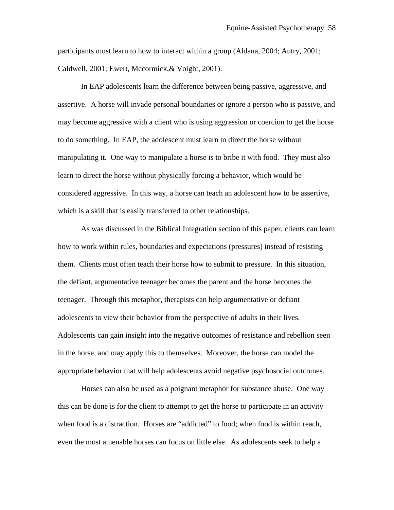participants must learn to how to interact within a group (Aldana, 2004; Autry, 2001; Caldwell, 2001; Ewert, Mccormick,& Voight, 2001).

 In EAP adolescents learn the difference between being passive, aggressive, and assertive. A horse will invade personal boundaries or ignore a person who is passive, and may become aggressive with a client who is using aggression or coercion to get the horse to do something. In EAP, the adolescent must learn to direct the horse without manipulating it. One way to manipulate a horse is to bribe it with food. They must also learn to direct the horse without physically forcing a behavior, which would be considered aggressive. In this way, a horse can teach an adolescent how to be assertive, which is a skill that is easily transferred to other relationships.

As was discussed in the Biblical Integration section of this paper, clients can learn how to work within rules, boundaries and expectations (pressures) instead of resisting them. Clients must often teach their horse how to submit to pressure. In this situation, the defiant, argumentative teenager becomes the parent and the horse becomes the teenager. Through this metaphor, therapists can help argumentative or defiant adolescents to view their behavior from the perspective of adults in their lives. Adolescents can gain insight into the negative outcomes of resistance and rebellion seen in the horse, and may apply this to themselves. Moreover, the horse can model the appropriate behavior that will help adolescents avoid negative psychosocial outcomes.

Horses can also be used as a poignant metaphor for substance abuse. One way this can be done is for the client to attempt to get the horse to participate in an activity when food is a distraction. Horses are "addicted" to food; when food is within reach, even the most amenable horses can focus on little else. As adolescents seek to help a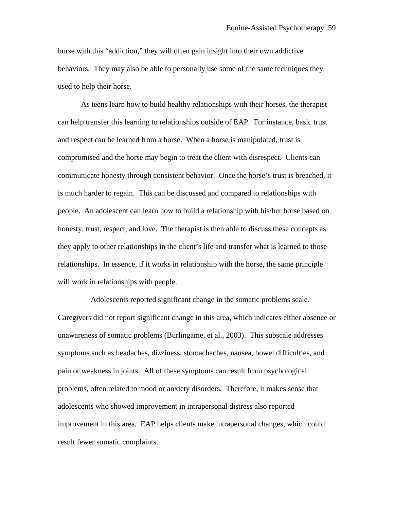horse with this "addiction," they will often gain insight into their own addictive behaviors. They may also be able to personally use some of the same techniques they used to help their horse.

As teens learn how to build healthy relationships with their horses, the therapist can help transfer this learning to relationships outside of EAP. For instance, basic trust and respect can be learned from a horse. When a horse is manipulated, trust is compromised and the horse may begin to treat the client with disrespect. Clients can communicate honesty through consistent behavior. Once the horse's trust is breached, it is much harder to regain. This can be discussed and compared to relationships with people. An adolescent can learn how to build a relationship with his/her horse based on honesty, trust, respect, and love. The therapist is then able to discuss these concepts as they apply to other relationships in the client's life and transfer what is learned to those relationships. In essence, if it works in relationship with the horse, the same principle will work in relationships with people.

 Adolescents reported significant change in the somatic problems scale. Caregivers did not report significant change in this area, which indicates either absence or unawareness of somatic problems (Burlingame, et al., 2003). This subscale addresses symptoms such as headaches, dizziness, stomachaches, nausea, bowel difficulties, and pain or weakness in joints. All of these symptoms can result from psychological problems, often related to mood or anxiety disorders. Therefore, it makes sense that adolescents who showed improvement in intrapersonal distress also reported improvement in this area. EAP helps clients make intrapersonal changes, which could result fewer somatic complaints.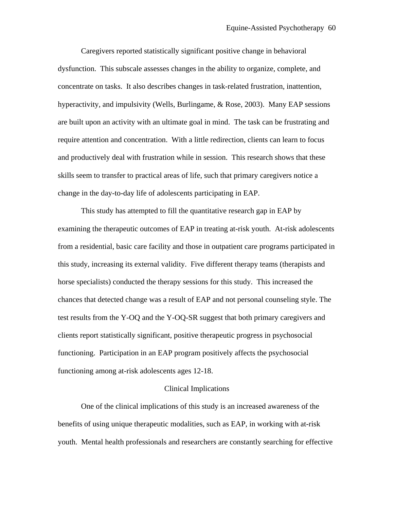Caregivers reported statistically significant positive change in behavioral dysfunction. This subscale assesses changes in the ability to organize, complete, and concentrate on tasks. It also describes changes in task-related frustration, inattention, hyperactivity, and impulsivity (Wells, Burlingame, & Rose, 2003). Many EAP sessions are built upon an activity with an ultimate goal in mind. The task can be frustrating and require attention and concentration. With a little redirection, clients can learn to focus and productively deal with frustration while in session. This research shows that these skills seem to transfer to practical areas of life, such that primary caregivers notice a change in the day-to-day life of adolescents participating in EAP.

 This study has attempted to fill the quantitative research gap in EAP by examining the therapeutic outcomes of EAP in treating at-risk youth. At-risk adolescents from a residential, basic care facility and those in outpatient care programs participated in this study, increasing its external validity. Five different therapy teams (therapists and horse specialists) conducted the therapy sessions for this study. This increased the chances that detected change was a result of EAP and not personal counseling style. The test results from the Y-OQ and the Y-OQ-SR suggest that both primary caregivers and clients report statistically significant, positive therapeutic progress in psychosocial functioning. Participation in an EAP program positively affects the psychosocial functioning among at-risk adolescents ages 12-18.

## Clinical Implications

One of the clinical implications of this study is an increased awareness of the benefits of using unique therapeutic modalities, such as EAP, in working with at-risk youth. Mental health professionals and researchers are constantly searching for effective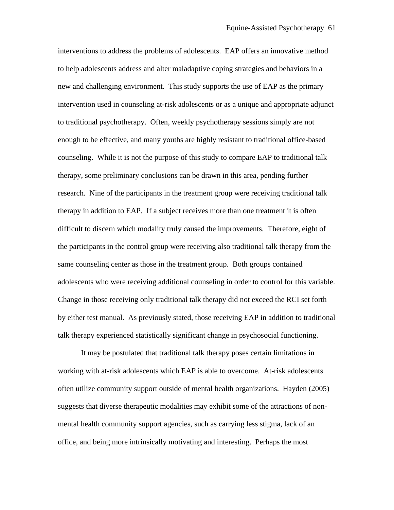interventions to address the problems of adolescents. EAP offers an innovative method to help adolescents address and alter maladaptive coping strategies and behaviors in a new and challenging environment. This study supports the use of EAP as the primary intervention used in counseling at-risk adolescents or as a unique and appropriate adjunct to traditional psychotherapy. Often, weekly psychotherapy sessions simply are not enough to be effective, and many youths are highly resistant to traditional office-based counseling. While it is not the purpose of this study to compare EAP to traditional talk therapy, some preliminary conclusions can be drawn in this area, pending further research. Nine of the participants in the treatment group were receiving traditional talk therapy in addition to EAP. If a subject receives more than one treatment it is often difficult to discern which modality truly caused the improvements. Therefore, eight of the participants in the control group were receiving also traditional talk therapy from the same counseling center as those in the treatment group. Both groups contained adolescents who were receiving additional counseling in order to control for this variable. Change in those receiving only traditional talk therapy did not exceed the RCI set forth by either test manual. As previously stated, those receiving EAP in addition to traditional talk therapy experienced statistically significant change in psychosocial functioning.

 It may be postulated that traditional talk therapy poses certain limitations in working with at-risk adolescents which EAP is able to overcome. At-risk adolescents often utilize community support outside of mental health organizations. Hayden (2005) suggests that diverse therapeutic modalities may exhibit some of the attractions of nonmental health community support agencies, such as carrying less stigma, lack of an office, and being more intrinsically motivating and interesting. Perhaps the most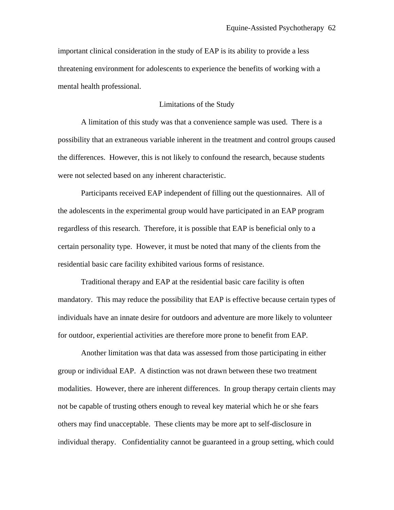important clinical consideration in the study of EAP is its ability to provide a less threatening environment for adolescents to experience the benefits of working with a mental health professional.

## Limitations of the Study

 A limitation of this study was that a convenience sample was used. There is a possibility that an extraneous variable inherent in the treatment and control groups caused the differences. However, this is not likely to confound the research, because students were not selected based on any inherent characteristic.

Participants received EAP independent of filling out the questionnaires. All of the adolescents in the experimental group would have participated in an EAP program regardless of this research. Therefore, it is possible that EAP is beneficial only to a certain personality type. However, it must be noted that many of the clients from the residential basic care facility exhibited various forms of resistance.

Traditional therapy and EAP at the residential basic care facility is often mandatory. This may reduce the possibility that EAP is effective because certain types of individuals have an innate desire for outdoors and adventure are more likely to volunteer for outdoor, experiential activities are therefore more prone to benefit from EAP.

 Another limitation was that data was assessed from those participating in either group or individual EAP. A distinction was not drawn between these two treatment modalities. However, there are inherent differences. In group therapy certain clients may not be capable of trusting others enough to reveal key material which he or she fears others may find unacceptable. These clients may be more apt to self-disclosure in individual therapy. Confidentiality cannot be guaranteed in a group setting, which could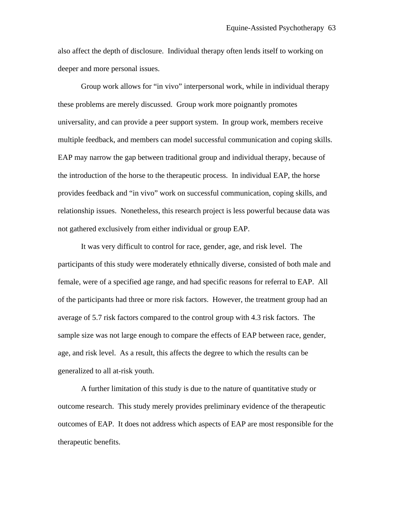also affect the depth of disclosure. Individual therapy often lends itself to working on deeper and more personal issues.

Group work allows for "in vivo" interpersonal work, while in individual therapy these problems are merely discussed. Group work more poignantly promotes universality, and can provide a peer support system. In group work, members receive multiple feedback, and members can model successful communication and coping skills. EAP may narrow the gap between traditional group and individual therapy, because of the introduction of the horse to the therapeutic process. In individual EAP, the horse provides feedback and "in vivo" work on successful communication, coping skills, and relationship issues. Nonetheless, this research project is less powerful because data was not gathered exclusively from either individual or group EAP.

 It was very difficult to control for race, gender, age, and risk level. The participants of this study were moderately ethnically diverse, consisted of both male and female, were of a specified age range, and had specific reasons for referral to EAP. All of the participants had three or more risk factors. However, the treatment group had an average of 5.7 risk factors compared to the control group with 4.3 risk factors. The sample size was not large enough to compare the effects of EAP between race, gender, age, and risk level. As a result, this affects the degree to which the results can be generalized to all at-risk youth.

 A further limitation of this study is due to the nature of quantitative study or outcome research. This study merely provides preliminary evidence of the therapeutic outcomes of EAP. It does not address which aspects of EAP are most responsible for the therapeutic benefits.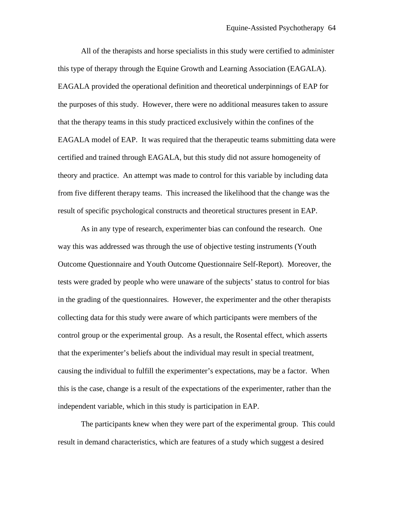All of the therapists and horse specialists in this study were certified to administer this type of therapy through the Equine Growth and Learning Association (EAGALA). EAGALA provided the operational definition and theoretical underpinnings of EAP for the purposes of this study. However, there were no additional measures taken to assure that the therapy teams in this study practiced exclusively within the confines of the EAGALA model of EAP. It was required that the therapeutic teams submitting data were certified and trained through EAGALA, but this study did not assure homogeneity of theory and practice. An attempt was made to control for this variable by including data from five different therapy teams. This increased the likelihood that the change was the result of specific psychological constructs and theoretical structures present in EAP.

 As in any type of research, experimenter bias can confound the research. One way this was addressed was through the use of objective testing instruments (Youth Outcome Questionnaire and Youth Outcome Questionnaire Self-Report). Moreover, the tests were graded by people who were unaware of the subjects' status to control for bias in the grading of the questionnaires. However, the experimenter and the other therapists collecting data for this study were aware of which participants were members of the control group or the experimental group. As a result, the Rosental effect, which asserts that the experimenter's beliefs about the individual may result in special treatment, causing the individual to fulfill the experimenter's expectations, may be a factor. When this is the case, change is a result of the expectations of the experimenter, rather than the independent variable, which in this study is participation in EAP.

 The participants knew when they were part of the experimental group. This could result in demand characteristics, which are features of a study which suggest a desired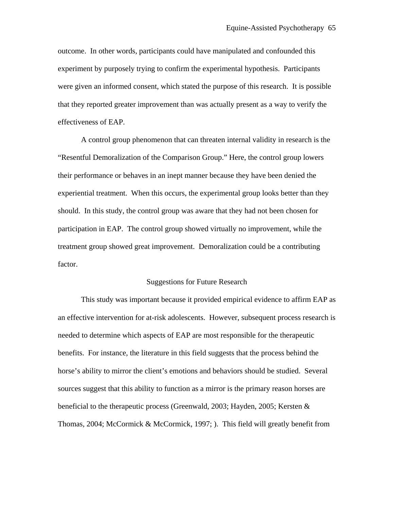outcome. In other words, participants could have manipulated and confounded this experiment by purposely trying to confirm the experimental hypothesis. Participants were given an informed consent, which stated the purpose of this research. It is possible that they reported greater improvement than was actually present as a way to verify the effectiveness of EAP.

 A control group phenomenon that can threaten internal validity in research is the "Resentful Demoralization of the Comparison Group." Here, the control group lowers their performance or behaves in an inept manner because they have been denied the experiential treatment. When this occurs, the experimental group looks better than they should. In this study, the control group was aware that they had not been chosen for participation in EAP. The control group showed virtually no improvement, while the treatment group showed great improvement. Demoralization could be a contributing factor.

#### Suggestions for Future Research

 This study was important because it provided empirical evidence to affirm EAP as an effective intervention for at-risk adolescents. However, subsequent process research is needed to determine which aspects of EAP are most responsible for the therapeutic benefits. For instance, the literature in this field suggests that the process behind the horse's ability to mirror the client's emotions and behaviors should be studied. Several sources suggest that this ability to function as a mirror is the primary reason horses are beneficial to the therapeutic process (Greenwald, 2003; Hayden, 2005; Kersten & Thomas, 2004; McCormick & McCormick, 1997; ). This field will greatly benefit from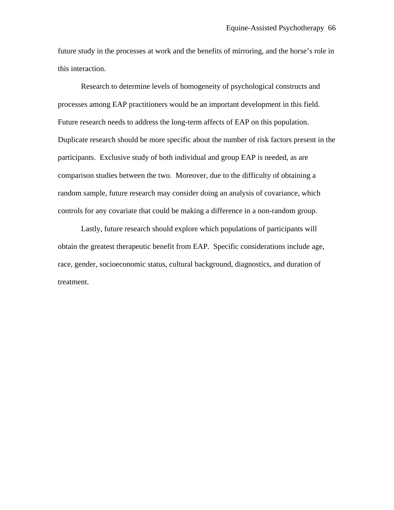future study in the processes at work and the benefits of mirroring, and the horse's role in this interaction.

 Research to determine levels of homogeneity of psychological constructs and processes among EAP practitioners would be an important development in this field. Future research needs to address the long-term affects of EAP on this population. Duplicate research should be more specific about the number of risk factors present in the participants. Exclusive study of both individual and group EAP is needed, as are comparison studies between the two. Moreover, due to the difficulty of obtaining a random sample, future research may consider doing an analysis of covariance, which controls for any covariate that could be making a difference in a non-random group.

Lastly, future research should explore which populations of participants will obtain the greatest therapeutic benefit from EAP. Specific considerations include age, race, gender, socioeconomic status, cultural background, diagnostics, and duration of treatment.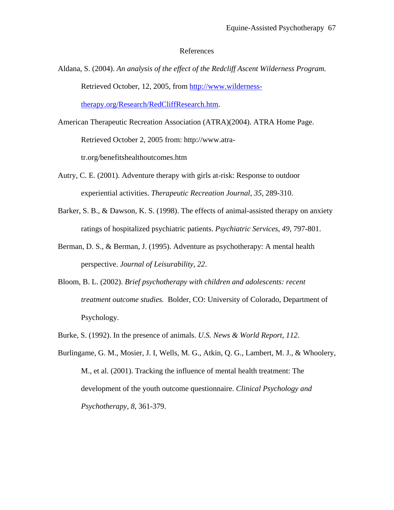#### References

Aldana, S. (2004). *An analysis of the effect of the Redcliff Ascent Wilderness Program.*  Retrieved October, 12, 2005, from [http://www.wilderness-](http://www.wilderness-therapy.org/Research/RedCliffResearch.htm)

[therapy.org/Research/RedCliffResearch.htm](http://www.wilderness-therapy.org/Research/RedCliffResearch.htm).

- American Therapeutic Recreation Association (ATRA)(2004). ATRA Home Page. Retrieved October 2, 2005 from: http://www.atratr.org/benefitshealthoutcomes.htm
- Autry, C. E. (2001). Adventure therapy with girls at-risk: Response to outdoor experiential activities. *Therapeutic Recreation Journal, 35*, 289-310.
- Barker, S. B., & Dawson, K. S. (1998). The effects of animal-assisted therapy on anxiety ratings of hospitalized psychiatric patients. *Psychiatric Services*, *49*, 797-801.
- Berman, D. S., & Berman, J. (1995). Adventure as psychotherapy: A mental health perspective. *Journal of Leisurability, 22*.
- Bloom, B. L. (2002). *Brief psychotherapy with children and adolescents: recent treatment outcome studies.* Bolder, CO: University of Colorado, Department of Psychology.
- Burke, S. (1992). In the presence of animals. *U.S. News & World Report, 112*.
- Burlingame, G. M., Mosier, J. I, Wells, M. G., Atkin, Q. G., Lambert, M. J., & Whoolery, M., et al. (2001). Tracking the influence of mental health treatment: The development of the youth outcome questionnaire. *Clinical Psychology and Psychotherapy, 8*, 361-379.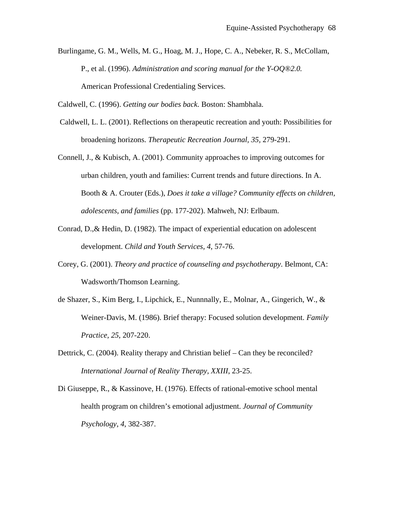Burlingame, G. M., Wells, M. G., Hoag, M. J., Hope, C. A., Nebeker, R. S., McCollam, P., et al. (1996). *Administration and scoring manual for the Y-OQ®2.0.*  American Professional Credentialing Services.

Caldwell, C. (1996). *Getting our bodies back*. Boston: Shambhala.

 Caldwell, L. L. (2001). Reflections on therapeutic recreation and youth: Possibilities for broadening horizons. *Therapeutic Recreation Journal, 35,* 279-291.

Connell, J., & Kubisch, A. (2001). Community approaches to improving outcomes for urban children, youth and families: Current trends and future directions. In A. Booth & A. Crouter (Eds.), *Does it take a village? Community effects on children, adolescents, and families* (pp. 177-202). Mahweh, NJ: Erlbaum.

- Conrad, D.,& Hedin, D. (1982). The impact of experiential education on adolescent development. *Child and Youth Services, 4*, 57-76.
- Corey, G. (2001). *Theory and practice of counseling and psychotherapy*. Belmont, CA: Wadsworth/Thomson Learning.
- de Shazer, S., Kim Berg, I., Lipchick, E., Nunnnally, E., Molnar, A., Gingerich, W., & Weiner-Davis, M. (1986). Brief therapy: Focused solution development. *Family Practice, 25*, 207-220.
- Dettrick, C. (2004). Reality therapy and Christian belief Can they be reconciled? *International Journal of Reality Therapy, XXIII*, 23-25.
- Di Giuseppe, R., & Kassinove, H. (1976). Effects of rational-emotive school mental health program on children's emotional adjustment. *Journal of Community Psychology*, *4*, 382-387.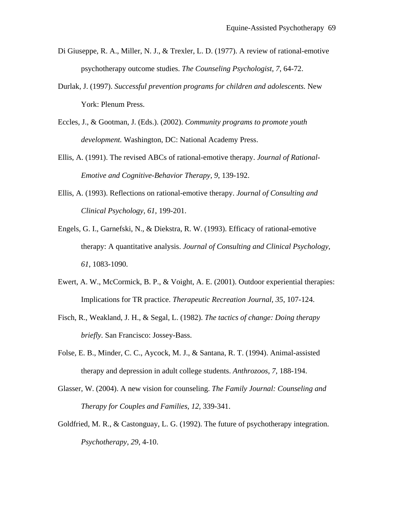- Di Giuseppe, R. A., Miller, N. J., & Trexler, L. D. (1977). A review of rational-emotive psychotherapy outcome studies. *The Counseling Psychologist, 7*, 64-72.
- Durlak, J. (1997). *Successful prevention programs for children and adolescents.* New York: Plenum Press.
- Eccles, J., & Gootman, J. (Eds.). (2002). *Community programs to promote youth development.* Washington, DC: National Academy Press.
- Ellis, A. (1991). The revised ABCs of rational-emotive therapy. *Journal of Rational-Emotive and Cognitive-Behavior Therapy, 9*, 139-192.
- Ellis, A. (1993). Reflections on rational-emotive therapy. *Journal of Consulting and Clinical Psychology, 61*, 199-201.
- Engels, G. I., Garnefski, N., & Diekstra, R. W. (1993). Efficacy of rational-emotive therapy: A quantitative analysis. *Journal of Consulting and Clinical Psychology, 61*, 1083-1090.
- Ewert, A. W., McCormick, B. P., & Voight, A. E. (2001). Outdoor experiential therapies: Implications for TR practice. *Therapeutic Recreation Journal, 35*, 107-124.
- Fisch, R., Weakland, J. H., & Segal, L. (1982). *The tactics of change: Doing therapy briefly.* San Francisco: Jossey-Bass.
- Folse, E. B., Minder, C. C., Aycock, M. J., & Santana, R. T. (1994). Animal-assisted therapy and depression in adult college students. *Anthrozoos*, *7*, 188-194.
- Glasser, W. (2004). A new vision for counseling. *The Family Journal: Counseling and Therapy for Couples and Families, 12,* 339-341.
- Goldfried, M. R., & Castonguay, L. G. (1992). The future of psychotherapy integration. *Psychotherapy, 29*, 4-10.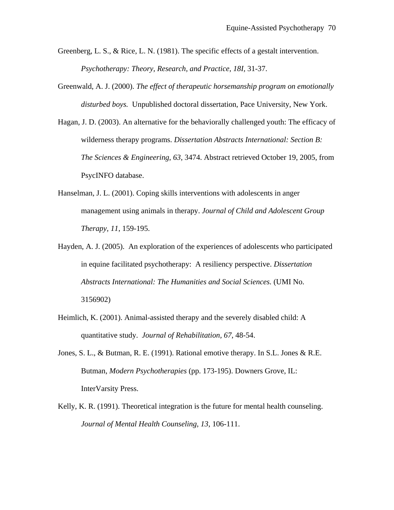- Greenberg, L. S., & Rice, L. N. (1981). The specific effects of a gestalt intervention. *Psychotherapy: Theory, Research, and Practice, 18I,* 31-37.
- Greenwald, A. J. (2000). *The effect of therapeutic horsemanship program on emotionally disturbed boys.* Unpublished doctoral dissertation, Pace University, New York.
- Hagan, J. D. (2003). An alternative for the behaviorally challenged youth: The efficacy of wilderness therapy programs. *Dissertation Abstracts International: Section B: The Sciences & Engineering*, *63*, 3474. Abstract retrieved October 19, 2005, from PsycINFO database.
- Hanselman, J. L. (2001). Coping skills interventions with adolescents in anger management using animals in therapy. *Journal of Child and Adolescent Group Therapy, 11*, 159-195.
- Hayden, A. J. (2005). An exploration of the experiences of adolescents who participated in equine facilitated psychotherapy: A resiliency perspective. *Dissertation Abstracts International: The Humanities and Social Sciences.* (UMI No. 3156902)
- Heimlich, K. (2001). Animal-assisted therapy and the severely disabled child: A quantitative study. *Journal of Rehabilitation, 67*, 48-54.
- Jones, S. L., & Butman, R. E. (1991). Rational emotive therapy. In S.L. Jones & R.E. Butman, *Modern Psychotherapies* (pp. 173-195). Downers Grove, IL: InterVarsity Press.
- Kelly, K. R. (1991). Theoretical integration is the future for mental health counseling. *Journal of Mental Health Counseling, 13*, 106-111.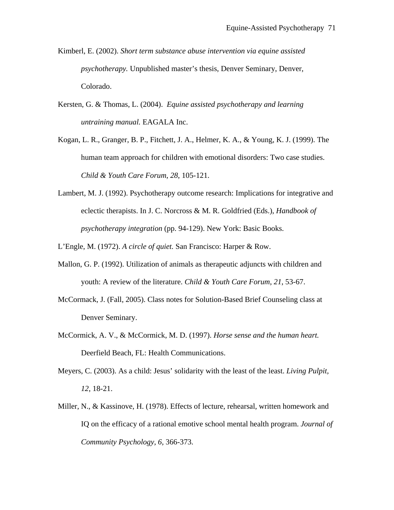- Kimberl, E. (2002). *Short term substance abuse intervention via equine assisted psychotherapy.* Unpublished master's thesis, Denver Seminary, Denver, Colorado.
- Kersten, G. & Thomas, L. (2004). *Equine assisted psychotherapy and learning untraining manual.* EAGALA Inc.
- Kogan, L. R., Granger, B. P., Fitchett, J. A., Helmer, K. A., & Young, K. J. (1999). The human team approach for children with emotional disorders: Two case studies. *Child & Youth Care Forum*, *28*, 105-121.
- Lambert, M. J. (1992). Psychotherapy outcome research: Implications for integrative and eclectic therapists. In J. C. Norcross & M. R. Goldfried (Eds.), *Handbook of psychotherapy integration* (pp. 94-129). New York: Basic Books.

L'Engle, M. (1972). *A circle of quiet.* San Francisco: Harper & Row.

- Mallon, G. P. (1992). Utilization of animals as therapeutic adjuncts with children and youth: A review of the literature. *Child & Youth Care Forum*, *21*, 53-67.
- McCormack, J. (Fall, 2005). Class notes for Solution-Based Brief Counseling class at Denver Seminary.
- McCormick, A. V., & McCormick, M. D. (1997). *Horse sense and the human heart.* Deerfield Beach, FL: Health Communications.
- Meyers, C. (2003). As a child: Jesus' solidarity with the least of the least. *Living Pulpit, 12*, 18-21.
- Miller, N., & Kassinove, H. (1978). Effects of lecture, rehearsal, written homework and IQ on the efficacy of a rational emotive school mental health program. *Journal of Community Psychology, 6,* 366-373.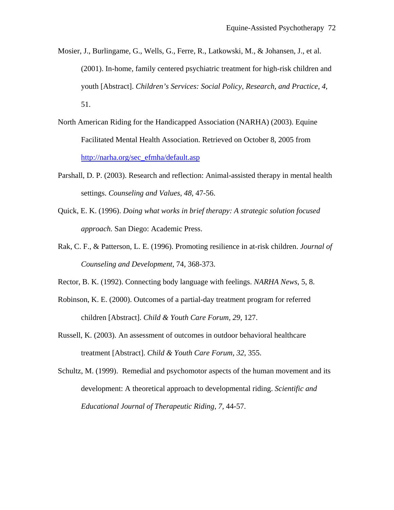- Mosier, J., Burlingame, G., Wells, G., Ferre, R., Latkowski, M., & Johansen, J., et al. (2001). In-home, family centered psychiatric treatment for high-risk children and youth [Abstract]. *Children's Services: Social Policy, Research, and Practice*, *4*, 51.
- North American Riding for the Handicapped Association (NARHA) (2003). Equine Facilitated Mental Health Association. Retrieved on October 8, 2005 from [http://narha.org/sec\\_efmha/default.asp](http://narha.org/sec_efmha/default.asp)
- Parshall, D. P. (2003). Research and reflection: Animal-assisted therapy in mental health settings. *Counseling and Values*, *48*, 47-56.
- Quick, E. K. (1996). *Doing what works in brief therapy: A strategic solution focused approach.* San Diego: Academic Press.
- Rak, C. F., & Patterson, L. E. (1996). Promoting resilience in at-risk children. *Journal of Counseling and Development*, 74, 368-373.
- Rector, B. K. (1992). Connecting body language with feelings. *NARHA News*, 5, 8.
- Robinson, K. E. (2000). Outcomes of a partial-day treatment program for referred children [Abstract]. *Child & Youth Care Forum, 29*, 127.
- Russell, K. (2003). An assessment of outcomes in outdoor behavioral healthcare treatment [Abstract]. *Child & Youth Care Forum, 32*, 355.
- Schultz, M. (1999). Remedial and psychomotor aspects of the human movement and its development: A theoretical approach to developmental riding. *Scientific and Educational Journal of Therapeutic Riding*, *7,* 44-57.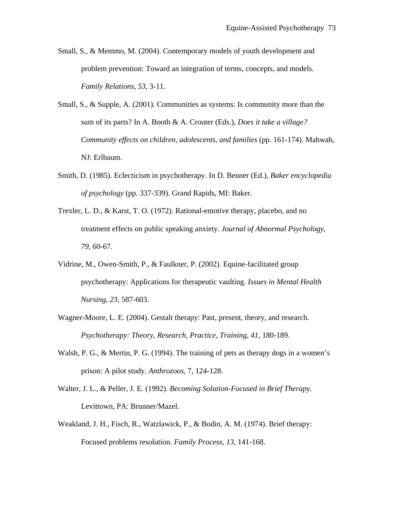- Small, S., & Memmo, M. (2004). Contemporary models of youth development and problem prevention: Toward an integration of terms, concepts, and models. *Family Relations*, *53*, 3-11.
- Small, S., & Supple, A. (2001). Communities as systems: Is community more than the sum of its parts? In A. Booth & A. Crouter (Eds.), *Does it take a village? Community effects on children, adolescents, and families* (pp. 161-174). Mahwah, NJ: Erlbaum.
- Smith, D. (1985). Eclecticism in psychotherapy. In D. Benner (Ed.), *Baker encyclopedia of psychology* (pp. 337-339). Grand Rapids, MI: Baker.
- Trexler, L. D., & Karst, T. O. (1972). Rational-emotive therapy, placebo, and no treatment effects on public speaking anxiety. *Journal of Abnormal Psychology*, *79*, 60-67.
- Vidrine, M., Owen-Smith, P., & Faulkner, P. (2002). Equine-facilitated group psychotherapy: Applications for therapeutic vaulting. *Issues in Mental Health Nursing, 23,* 587-603.
- Wagner-Moore, L. E. (2004). Gestalt therapy: Past, present, theory, and research. *Psychotherapy: Theory, Research, Practice, Training, 41*, 180-189.
- Walsh, P. G., & Mertin, P. G. (1994). The training of pets as therapy dogs in a women's prison: A pilot study. *Anthrozoos*, 7, 124-128.
- Walter, J. L., & Peller, J. E. (1992). *Becoming Solution-Focused in Brief Therapy.*  Levittown, PA: Brunner/Mazel.
- Weakland, J. H., Fisch, R., Watzlawick, P., & Bodin, A. M. (1974). Brief therapy: Focused problems resolution. *Family Process, 13*, 141-168.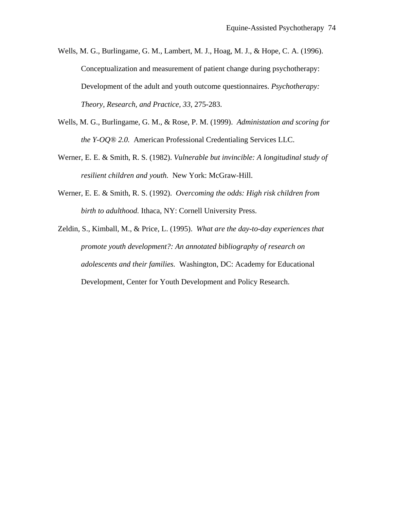Wells, M. G., Burlingame, G. M., Lambert, M. J., Hoag, M. J., & Hope, C. A. (1996). Conceptualization and measurement of patient change during psychotherapy: Development of the adult and youth outcome questionnaires. *Psychotherapy: Theory, Research, and Practice, 33*, 275-283.

- Wells, M. G., Burlingame, G. M., & Rose, P. M. (1999). *Administation and scoring for the Y-OQ® 2.0.* American Professional Credentialing Services LLC.
- Werner, E. E. & Smith, R. S. (1982). *Vulnerable but invincible: A longitudinal study of resilient children and youth.* New York: McGraw-Hill.
- Werner, E. E. & Smith, R. S. (1992). *Overcoming the odds: High risk children from birth to adulthood.* Ithaca, NY: Cornell University Press.
- Zeldin, S., Kimball, M., & Price, L. (1995). *What are the day-to-day experiences that promote youth development?: An annotated bibliography of research on adolescents and their families.* Washington, DC: Academy for Educational Development, Center for Youth Development and Policy Research.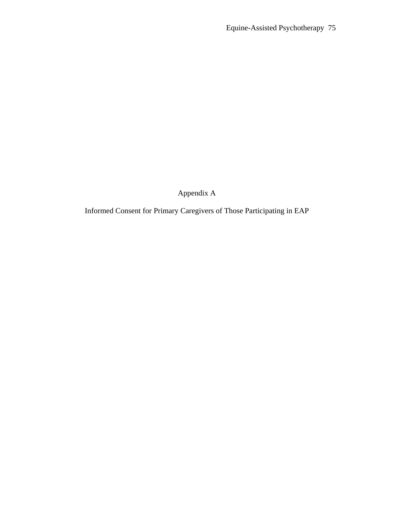Appendix A

Informed Consent for Primary Caregivers of Those Participating in EAP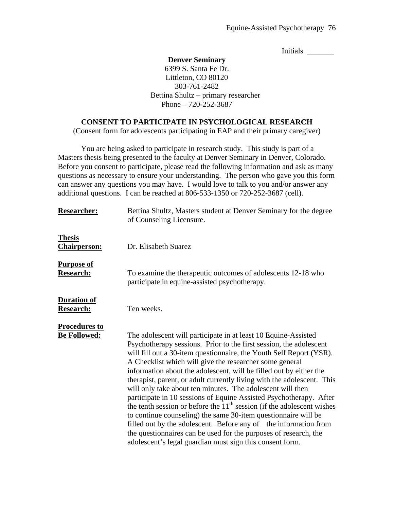Initials \_\_\_\_\_\_\_

#### **Denver Seminary**

6399 S. Santa Fe Dr. Littleton, CO 80120 303-761-2482 Bettina Shultz – primary researcher Phone – 720-252-3687

#### **CONSENT TO PARTICIPATE IN PSYCHOLOGICAL RESEARCH**

(Consent form for adolescents participating in EAP and their primary caregiver)

 You are being asked to participate in research study. This study is part of a Masters thesis being presented to the faculty at Denver Seminary in Denver, Colorado. Before you consent to participate, please read the following information and ask as many questions as necessary to ensure your understanding. The person who gave you this form can answer any questions you may have. I would love to talk to you and/or answer any additional questions. I can be reached at 806-533-1350 or 720-252-3687 (cell).

| <b>Researcher:</b>                          | Bettina Shultz, Masters student at Denver Seminary for the degree<br>of Counseling Licensure.                                                                                                                                                                                                                                                                                                                                                                                                                                                                                                                                                                                                                                                                                                                                                                                                                     |
|---------------------------------------------|-------------------------------------------------------------------------------------------------------------------------------------------------------------------------------------------------------------------------------------------------------------------------------------------------------------------------------------------------------------------------------------------------------------------------------------------------------------------------------------------------------------------------------------------------------------------------------------------------------------------------------------------------------------------------------------------------------------------------------------------------------------------------------------------------------------------------------------------------------------------------------------------------------------------|
| <b>Thesis</b><br><b>Chairperson:</b>        | Dr. Elisabeth Suarez                                                                                                                                                                                                                                                                                                                                                                                                                                                                                                                                                                                                                                                                                                                                                                                                                                                                                              |
| <b>Purpose of</b><br><b>Research:</b>       | To examine the therapeutic outcomes of adolescents 12-18 who<br>participate in equine-assisted psychotherapy.                                                                                                                                                                                                                                                                                                                                                                                                                                                                                                                                                                                                                                                                                                                                                                                                     |
| <b>Duration of</b><br><b>Research:</b>      | Ten weeks.                                                                                                                                                                                                                                                                                                                                                                                                                                                                                                                                                                                                                                                                                                                                                                                                                                                                                                        |
| <b>Procedures to</b><br><b>Be Followed:</b> | The adolescent will participate in at least 10 Equine-Assisted<br>Psychotherapy sessions. Prior to the first session, the adolescent<br>will fill out a 30-item questionnaire, the Youth Self Report (YSR).<br>A Checklist which will give the researcher some general<br>information about the adolescent, will be filled out by either the<br>therapist, parent, or adult currently living with the adolescent. This<br>will only take about ten minutes. The adolescent will then<br>participate in 10 sessions of Equine Assisted Psychotherapy. After<br>the tenth session or before the $11th$ session (if the adolescent wishes<br>to continue counseling) the same 30-item questionnaire will be<br>filled out by the adolescent. Before any of the information from<br>the question aircreases can be used for the purposes of research, the<br>adolescent's legal guardian must sign this consent form. |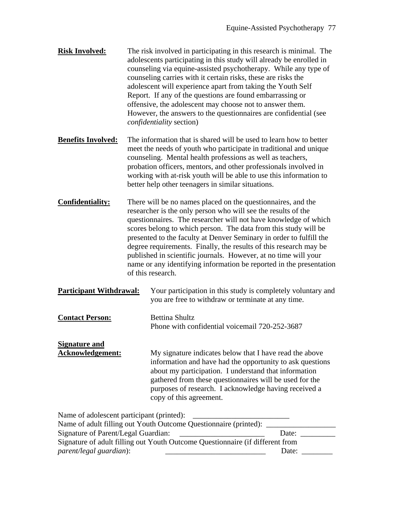- **Risk Involved:** The risk involved in participating in this research is minimal. The adolescents participating in this study will already be enrolled in counseling via equine-assisted psychotherapy. While any type of counseling carries with it certain risks, these are risks the adolescent will experience apart from taking the Youth Self Report. If any of the questions are found embarrassing or offensive, the adolescent may choose not to answer them. However, the answers to the questionnaires are confidential (see *confidentiality* section)
- **Benefits Involved:** The information that is shared will be used to learn how to better meet the needs of youth who participate in traditional and unique counseling. Mental health professions as well as teachers, probation officers, mentors, and other professionals involved in working with at-risk youth will be able to use this information to better help other teenagers in similar situations.
- **Confidentiality:** There will be no names placed on the questionnaires, and the researcher is the only person who will see the results of the questionnaires. The researcher will not have knowledge of which scores belong to which person. The data from this study will be presented to the faculty at Denver Seminary in order to fulfill the degree requirements. Finally, the results of this research may be published in scientific journals. However, at no time will your name or any identifying information be reported in the presentation of this research.
- **Participant Withdrawal:** Your participation in this study is completely voluntary and you are free to withdraw or terminate at any time.
- **Contact Person:** Bettina Shultz Phone with confidential voicemail 720-252-3687

# **Signature and**

**Acknowledgement:** My signature indicates below that I have read the above information and have had the opportunity to ask questions about my participation. I understand that information gathered from these questionnaires will be used for the purposes of research. I acknowledge having received a copy of this agreement.

Name of adolescent participant (printed):

| Name of adult filling out Youth Outcome Questionnaire (printed):              |       |
|-------------------------------------------------------------------------------|-------|
| Signature of Parent/Legal Guardian:                                           | Date: |
| Signature of adult filling out Youth Outcome Questionnaire (if different from |       |
| <i>parent/legal guardian):</i>                                                | Date: |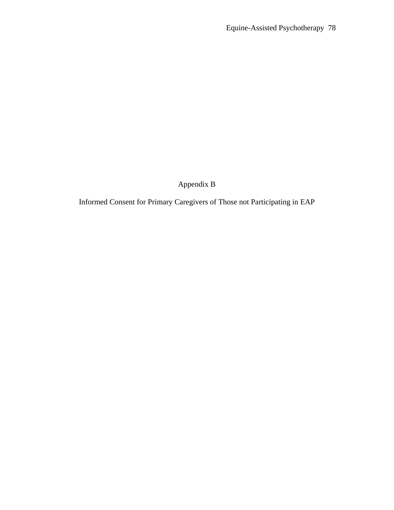Appendix B

Informed Consent for Primary Caregivers of Those not Participating in EAP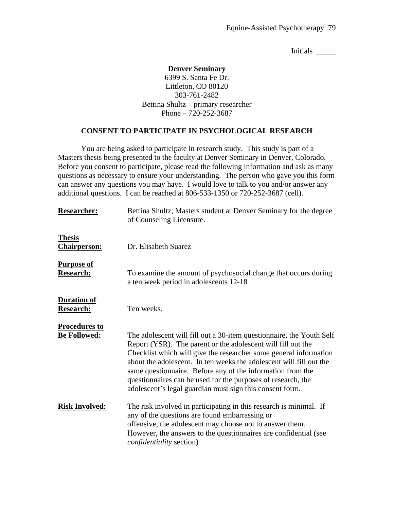Initials \_\_\_\_\_\_\_

### **Denver Seminary**

6399 S. Santa Fe Dr. Littleton, CO 80120 303-761-2482 Bettina Shultz – primary researcher Phone – 720-252-3687

### **CONSENT TO PARTICIPATE IN PSYCHOLOGICAL RESEARCH**

 You are being asked to participate in research study. This study is part of a Masters thesis being presented to the faculty at Denver Seminary in Denver, Colorado. Before you consent to participate, please read the following information and ask as many questions as necessary to ensure your understanding. The person who gave you this form can answer any questions you may have. I would love to talk to you and/or answer any additional questions. I can be reached at 806-533-1350 or 720-252-3687 (cell).

| <b>Researcher:</b>                     | Bettina Shultz, Masters student at Denver Seminary for the degree<br>of Counseling Licensure.                                                                                                                                                                                                                                                                                                                                                                              |
|----------------------------------------|----------------------------------------------------------------------------------------------------------------------------------------------------------------------------------------------------------------------------------------------------------------------------------------------------------------------------------------------------------------------------------------------------------------------------------------------------------------------------|
| <b>Thesis</b><br><b>Chairperson:</b>   | Dr. Elisabeth Suarez                                                                                                                                                                                                                                                                                                                                                                                                                                                       |
| <b>Purpose of</b><br><b>Research:</b>  | To examine the amount of psychosocial change that occurs during<br>a ten week period in adolescents 12-18                                                                                                                                                                                                                                                                                                                                                                  |
| <b>Duration of</b><br><b>Research:</b> | Ten weeks.                                                                                                                                                                                                                                                                                                                                                                                                                                                                 |
| <b>Procedures to</b>                   |                                                                                                                                                                                                                                                                                                                                                                                                                                                                            |
| <b>Be Followed:</b>                    | The adolescent will fill out a 30-item question aire, the Youth Self<br>Report (YSR). The parent or the adolescent will fill out the<br>Checklist which will give the researcher some general information<br>about the adolescent. In ten weeks the adolescent will fill out the<br>same questionnaire. Before any of the information from the<br>questionnaires can be used for the purposes of research, the<br>adolescent's legal guardian must sign this consent form. |
| <b>Risk Involved:</b>                  | The risk involved in participating in this research is minimal. If<br>any of the questions are found embarrassing or<br>offensive, the adolescent may choose not to answer them.<br>However, the answers to the questionnaires are confidential (see<br><i>confidentiality</i> section)                                                                                                                                                                                    |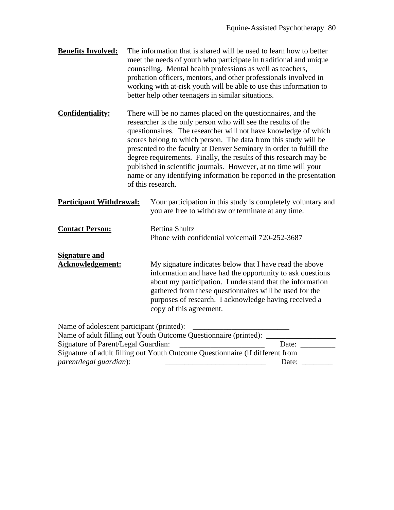- **Benefits Involved:** The information that is shared will be used to learn how to better meet the needs of youth who participate in traditional and unique counseling. Mental health professions as well as teachers, probation officers, mentors, and other professionals involved in working with at-risk youth will be able to use this information to better help other teenagers in similar situations.
- **Confidentiality:** There will be no names placed on the questionnaires, and the researcher is the only person who will see the results of the questionnaires. The researcher will not have knowledge of which scores belong to which person. The data from this study will be presented to the faculty at Denver Seminary in order to fulfill the degree requirements. Finally, the results of this research may be published in scientific journals. However, at no time will your name or any identifying information be reported in the presentation of this research.
- **Participant Withdrawal:** Your participation in this study is completely voluntary and you are free to withdraw or terminate at any time.
- **Contact Person:** Bettina Shultz Phone with confidential voicemail 720-252-3687
- **Acknowledgement:** My signature indicates below that I have read the above information and have had the opportunity to ask questions about my participation. I understand that the information gathered from these questionnaires will be used for the purposes of research. I acknowledge having received a copy of this agreement.

Name of adolescent participant (printed):

**Signature and** 

| Name of adult filling out Youth Outcome Questionnaire (printed):              |       |
|-------------------------------------------------------------------------------|-------|
| Signature of Parent/Legal Guardian:                                           | Date: |
| Signature of adult filling out Youth Outcome Questionnaire (if different from |       |
| <i>parent/legal guardian):</i>                                                | Date: |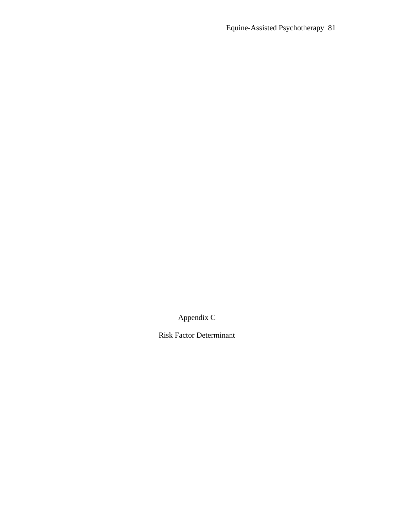Appendix C

Risk Factor Determinant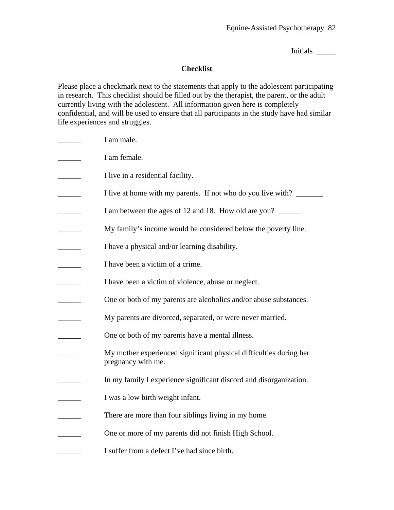Initials \_\_\_\_\_

## **Checklist**

Please place a checkmark next to the statements that apply to the adolescent participating in research. This checklist should be filled out by the therapist, the parent, or the adult currently living with the adolescent. All information given here is completely confidential, and will be used to ensure that all participants in the study have had similar life experiences and struggles.

I am male.  $\Box$  I am female. \_\_\_\_\_\_ I live in a residential facility. I live at home with my parents. If not who do you live with? \_\_\_\_\_\_\_\_\_\_\_\_\_\_\_\_\_\_\_ I am between the ages of 12 and 18. How old are you? My family's income would be considered below the poverty line. **EXECUTE:** I have a physical and/or learning disability. I have been a victim of a crime. I have been a victim of violence, abuse or neglect. \_\_\_\_\_\_ One or both of my parents are alcoholics and/or abuse substances. My parents are divorced, separated, or were never married. **EXECUTE:** One or both of my parents have a mental illness. \_\_\_\_\_\_ My mother experienced significant physical difficulties during her pregnancy with me. In my family I experience significant discord and disorganization. I was a low birth weight infant. There are more than four siblings living in my home. One or more of my parents did not finish High School. I suffer from a defect I've had since birth.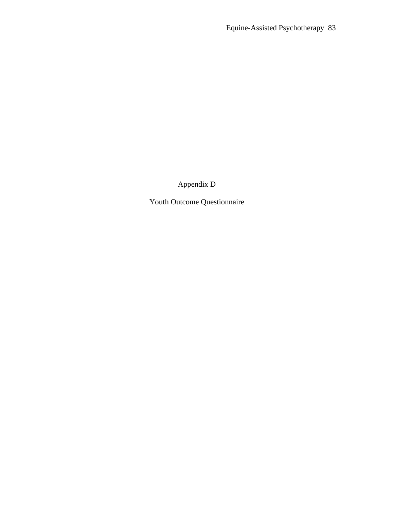Appendix D

Youth Outcome Questionnaire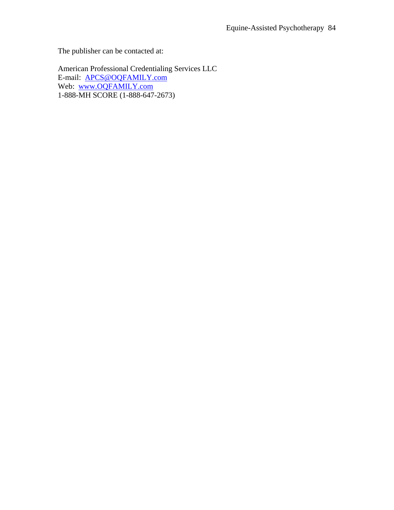The publisher can be contacted at:

American Professional Credentialing Services LLC E-mail: [APCS@OQFAMILY.com](mailto:APCS@OQFAMILY.com) Web: [www.OQFAMILY.com](http://www.oqfamily.com/) 1-888-MH SCORE (1-888-647-2673)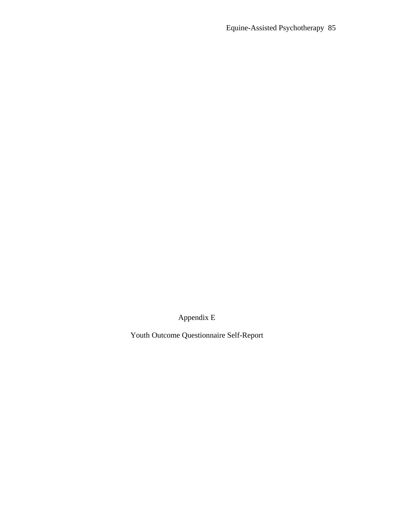Appendix E

Youth Outcome Questionnaire Self-Report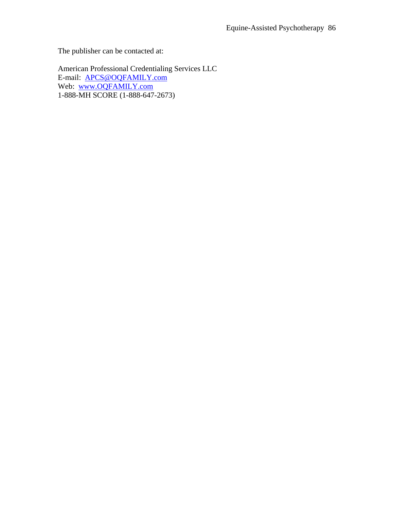The publisher can be contacted at:

American Professional Credentialing Services LLC E-mail: [APCS@OQFAMILY.com](mailto:APCS@OQFAMILY.com) Web: [www.OQFAMILY.com](http://www.oqfamily.com/) 1-888-MH SCORE (1-888-647-2673)